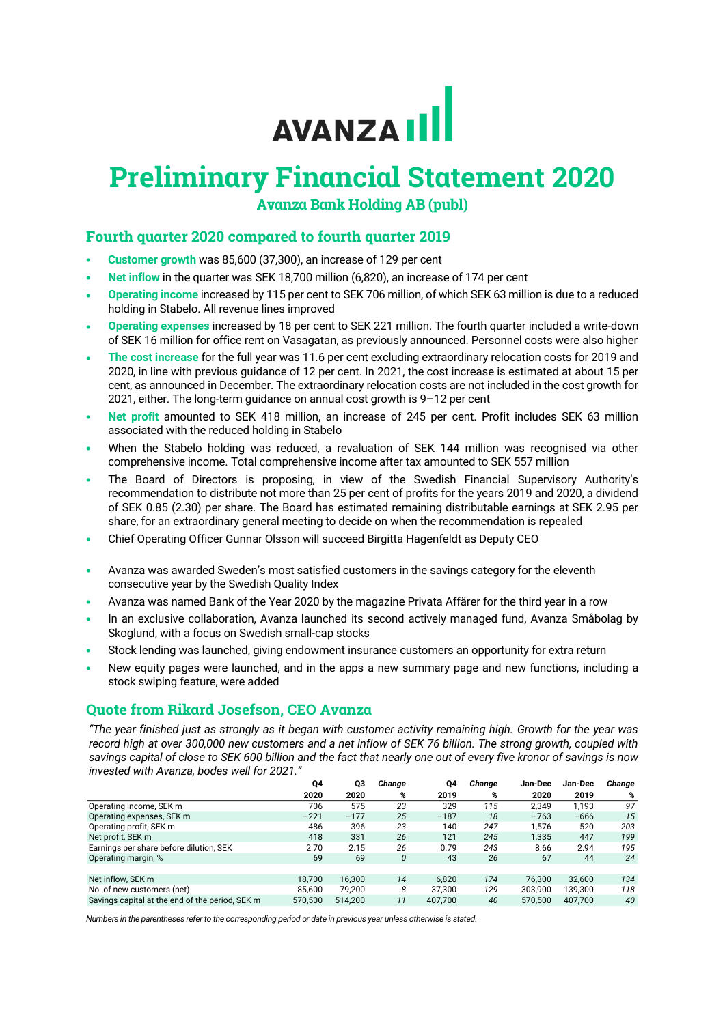# AVANZA III

# **Preliminary Financial Statement 2020**

**Avanza Bank Holding AB (publ)**

# **Fourth quarter 2020 compared to fourth quarter 2019**

- **Customer growth** was 85,600 (37,300), an increase of 129 per cent
- **Net inflow** in the quarter was SEK 18,700 million (6,820), an increase of 174 per cent
- **Operating income** increased by 115 per cent to SEK 706 million, of which SEK 63 million is due to a reduced holding in Stabelo. All revenue lines improved
- **Operating expenses** increased by 18 per cent to SEK 221 million. The fourth quarter included a write-down of SEK 16 million for office rent on Vasagatan, as previously announced. Personnel costs were also higher
- **The cost increase** for the full year was 11.6 per cent excluding extraordinary relocation costs for 2019 and 2020, in line with previous guidance of 12 per cent. In 2021, the cost increase is estimated at about 15 per cent, as announced in December. The extraordinary relocation costs are not included in the cost growth for 2021, either. The long-term guidance on annual cost growth is 9–12 per cent
- **Net profit** amounted to SEK 418 million, an increase of 245 per cent. Profit includes SEK 63 million associated with the reduced holding in Stabelo
- When the Stabelo holding was reduced, a revaluation of SEK 144 million was recognised via other comprehensive income. Total comprehensive income after tax amounted to SEK 557 million
- The Board of Directors is proposing, in view of the Swedish Financial Supervisory Authority's recommendation to distribute not more than 25 per cent of profits for the years 2019 and 2020, a dividend of SEK 0.85 (2.30) per share. The Board has estimated remaining distributable earnings at SEK 2.95 per share, for an extraordinary general meeting to decide on when the recommendation is repealed
- Chief Operating Officer Gunnar Olsson will succeed Birgitta Hagenfeldt as Deputy CEO
- Avanza was awarded Sweden's most satisfied customers in the savings category for the eleventh consecutive year by the Swedish Quality Index
- Avanza was named Bank of the Year 2020 by the magazine Privata Affärer for the third year in a row
- In an exclusive collaboration, Avanza launched its second actively managed fund, Avanza Småbolag by Skoglund, with a focus on Swedish small-cap stocks
- Stock lending was launched, giving endowment insurance customers an opportunity for extra return
- New equity pages were launched, and in the apps a new summary page and new functions, including a stock swiping feature, were added

# **Quote from Rikard Josefson, CEO Avanza**

*"The year finished just as strongly as it began with customer activity remaining high. Growth for the year was record high at over 300,000 new customers and a net inflow of SEK 76 billion. The strong growth, coupled with savings capital of close to SEK 600 billion and the fact that nearly one out of every five kronor of savings is now invested with Avanza, bodes well for 2021."*

|                                                 | Q4      | Q3      | Change | Q4      | Change | Jan-Dec | Jan-Dec | Change |
|-------------------------------------------------|---------|---------|--------|---------|--------|---------|---------|--------|
|                                                 | 2020    | 2020    | %      | 2019    | %      | 2020    | 2019    | %      |
| Operating income, SEK m                         | 706     | 575     | 23     | 329     | 115    | 2.349   | 1.193   | 97     |
| Operating expenses, SEK m                       | $-221$  | $-177$  | 25     | $-187$  | 18     | $-763$  | $-666$  | 15     |
| Operating profit, SEK m                         | 486     | 396     | 23     | 140     | 247    | 1,576   | 520     | 203    |
| Net profit, SEK m                               | 418     | 331     | 26     | 121     | 245    | 1,335   | 447     | 199    |
| Earnings per share before dilution, SEK         | 2.70    | 2.15    | 26     | 0.79    | 243    | 8.66    | 2.94    | 195    |
| Operating margin, %                             | 69      | 69      | 0      | 43      | 26     | 67      | 44      | 24     |
|                                                 |         |         |        |         |        |         |         |        |
| Net inflow, SEK m                               | 18.700  | 16.300  | 14     | 6.820   | 174    | 76.300  | 32.600  | 134    |
| No. of new customers (net)                      | 85.600  | 79.200  | 8      | 37.300  | 129    | 303.900 | 139,300 | 118    |
| Savings capital at the end of the period, SEK m | 570.500 | 514.200 | 11     | 407.700 | 40     | 570.500 | 407.700 | 40     |

*Numbers in the parentheses refer to the corresponding period or date in previous year unless otherwise is stated.*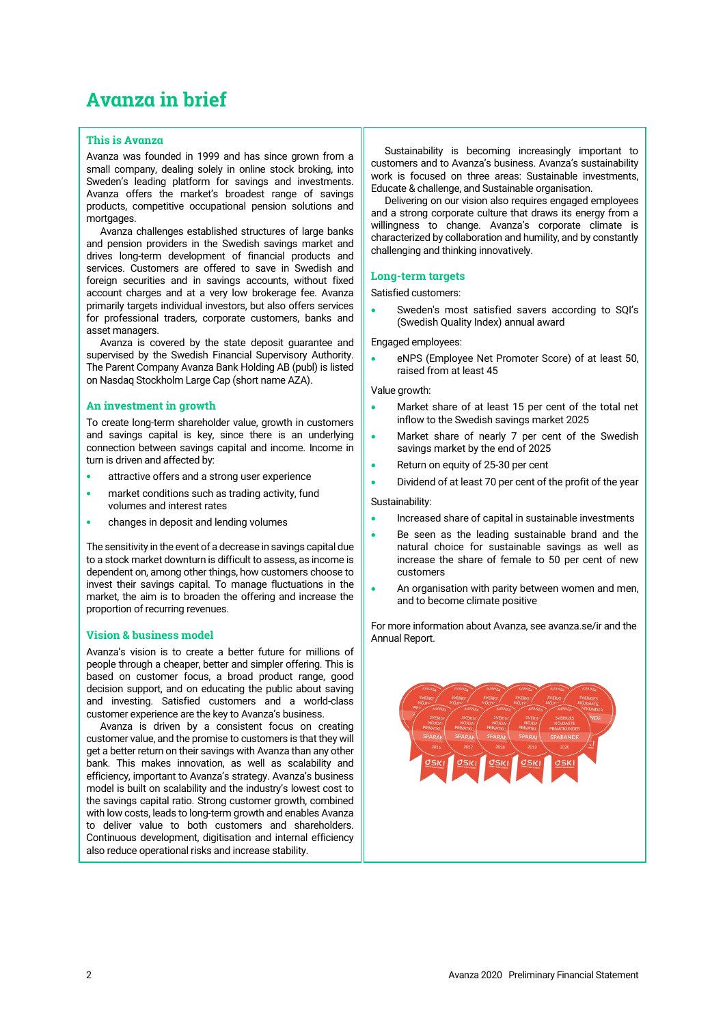# **Avanza in brief**

# **This is Avanza**

Avanza was founded in 1999 and has since grown from a small company, dealing solely in online stock broking, into Sweden's leading platform for savings and investments. Avanza offers the market's broadest range of savings products, competitive occupational pension solutions and mortgages.

Avanza challenges established structures of large banks and pension providers in the Swedish savings market and drives long-term development of financial products and services. Customers are offered to save in Swedish and foreign securities and in savings accounts, without fixed account charges and at a very low brokerage fee. Avanza primarily targets individual investors, but also offers services for professional traders, corporate customers, banks and asset managers.

Avanza is covered by the state deposit guarantee and supervised by the Swedish Financial Supervisory Authority. The Parent Company Avanza Bank Holding AB (publ) is listed on Nasdaq Stockholm Large Cap (short name AZA).

# **An investment in growth**

To create long-term shareholder value, growth in customers and savings capital is key, since there is an underlying connection between savings capital and income. Income in turn is driven and affected by:

- attractive offers and a strong user experience
- market conditions such as trading activity, fund volumes and interest rates
- changes in deposit and lending volumes

The sensitivity in the event of a decrease in savings capital due to a stock market downturn is difficult to assess, as income is dependent on, among other things, how customers choose to invest their savings capital. To manage fluctuations in the market, the aim is to broaden the offering and increase the proportion of recurring revenues.

# **Vision & business model**

Avanza's vision is to create a better future for millions of people through a cheaper, better and simpler offering. This is based on customer focus, a broad product range, good decision support, and on educating the public about saving and investing. Satisfied customers and a world-class customer experience are the key to Avanza's business.

Avanza is driven by a consistent focus on creating customer value, and the promise to customers is that they will get a better return on their savings with Avanza than any other bank. This makes innovation, as well as scalability and efficiency, important to Avanza's strategy. Avanza's business model is built on scalability and the industry's lowest cost to the savings capital ratio. Strong customer growth, combined with low costs, leads to long-term growth and enables Avanza to deliver value to both customers and shareholders. Continuous development, digitisation and internal efficiency also reduce operational risks and increase stability.

Sustainability is becoming increasingly important to customers and to Avanza's business. Avanza's sustainability work is focused on three areas: Sustainable investments, Educate & challenge, and Sustainable organisation.

Delivering on our vision also requires engaged employees and a strong corporate culture that draws its energy from a willingness to change. Avanza's corporate climate is characterized by collaboration and humility, and by constantly challenging and thinking innovatively.

### **Long-term targets**

Satisfied customers:

• Sweden's most satisfied savers according to SQI's (Swedish Quality Index) annual award

Engaged employees:

• eNPS (Employee Net Promoter Score) of at least 50, raised from at least 45

### Value growth:

- Market share of at least 15 per cent of the total net inflow to the Swedish savings market 2025
- Market share of nearly 7 per cent of the Swedish savings market by the end of 2025
- Return on equity of 25-30 per cent
- Dividend of at least 70 per cent of the profit of the year

### Sustainability:

- Increased share of capital in sustainable investments
- Be seen as the leading sustainable brand and the natural choice for sustainable savings as well as increase the share of female to 50 per cent of new customers
- An organisation with parity between women and men, and to become climate positive

For more information about Avanza, see [avanza.se/ir](https://avanza.se/ir) and the [Annual Report.](https://investors.avanza.se/en/ir/reports/annual-and-interim-reports/avanza-publishes-the-annual-and-sustainability-report-for-2019/)

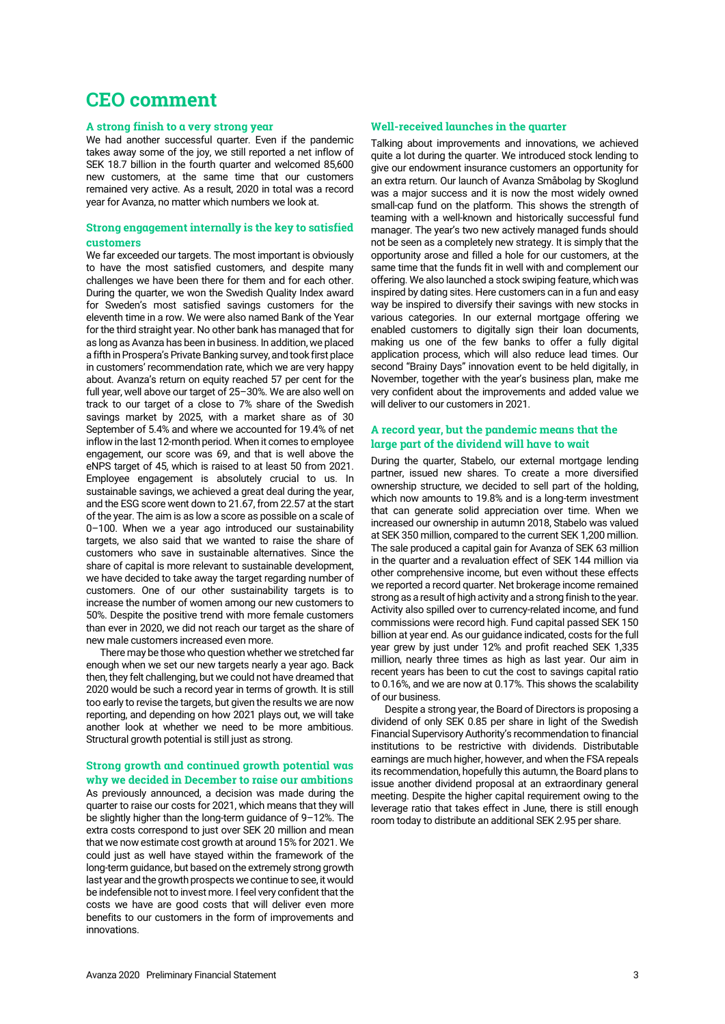# **CEO comment**

# **A strong finish to a very strong year**

We had another successful quarter. Even if the pandemic takes away some of the joy, we still reported a net inflow of SEK 18.7 billion in the fourth quarter and welcomed 85,600 new customers, at the same time that our customers remained very active. As a result, 2020 in total was a record year for Avanza, no matter which numbers we look at.

# **Strong engagement internally is the key to satisfied customers**

We far exceeded our targets. The most important is obviously to have the most satisfied customers, and despite many challenges we have been there for them and for each other. During the quarter, we won the Swedish Quality Index award for Sweden's most satisfied savings customers for the eleventh time in a row. We were also named Bank of the Year for the third straight year. No other bank has managed that for as long as Avanza has been in business. In addition, we placed a fifth in Prospera's Private Banking survey, and took first place in customers' recommendation rate, which we are very happy about. Avanza's return on equity reached 57 per cent for the full year, well above our target of 25–30%. We are also well on track to our target of a close to 7% share of the Swedish savings market by 2025, with a market share as of 30 September of 5.4% and where we accounted for 19.4% of net inflow in the last 12-month period. When it comes to employee engagement, our score was 69, and that is well above the eNPS target of 45, which is raised to at least 50 from 2021. Employee engagement is absolutely crucial to us. In sustainable savings, we achieved a great deal during the year, and the ESG score went down to 21.67, from 22.57 at the start of the year. The aim is as low a score as possible on a scale of 0–100. When we a year ago introduced our sustainability targets, we also said that we wanted to raise the share of customers who save in sustainable alternatives. Since the share of capital is more relevant to sustainable development, we have decided to take away the target regarding number of customers. One of our other sustainability targets is to increase the number of women among our new customers to 50%. Despite the positive trend with more female customers than ever in 2020, we did not reach our target as the share of new male customers increased even more.

There may be those who question whether we stretched far enough when we set our new targets nearly a year ago. Back then, they felt challenging, but we could not have dreamed that 2020 would be such a record year in terms of growth. It is still too early to revise the targets, but given the results we are now reporting, and depending on how 2021 plays out, we will take another look at whether we need to be more ambitious. Structural growth potential is still just as strong.

# **Strong growth and continued growth potential was why we decided in December to raise our ambitions**

As previously announced, a decision was made during the quarter to raise our costs for 2021, which means that they will be slightly higher than the long-term guidance of 9–12%. The extra costs correspond to just over SEK 20 million and mean that we now estimate cost growth at around 15% for 2021. We could just as well have stayed within the framework of the long-term guidance, but based on the extremely strong growth last year and the growth prospects we continue to see, it would be indefensible not to invest more. I feel very confident that the costs we have are good costs that will deliver even more benefits to our customers in the form of improvements and innovations.

# **Well-received launches in the quarter**

Talking about improvements and innovations, we achieved quite a lot during the quarter. We introduced stock lending to give our endowment insurance customers an opportunity for an extra return. Our launch of Avanza Småbolag by Skoglund was a major success and it is now the most widely owned small-cap fund on the platform. This shows the strength of teaming with a well-known and historically successful fund manager. The year's two new actively managed funds should not be seen as a completely new strategy. It is simply that the opportunity arose and filled a hole for our customers, at the same time that the funds fit in well with and complement our offering. We also launched a stock swiping feature, which was inspired by dating sites. Here customers can in a fun and easy way be inspired to diversify their savings with new stocks in various categories. In our external mortgage offering we enabled customers to digitally sign their loan documents, making us one of the few banks to offer a fully digital application process, which will also reduce lead times. Our second "Brainy Days" innovation event to be held digitally, in November, together with the year's business plan, make me very confident about the improvements and added value we will deliver to our customers in 2021.

# **A record year, but the pandemic means that the large part of the dividend will have to wait**

During the quarter, Stabelo, our external mortgage lending partner, issued new shares. To create a more diversified ownership structure, we decided to sell part of the holding, which now amounts to 19.8% and is a long-term investment that can generate solid appreciation over time. When we increased our ownership in autumn 2018, Stabelo was valued at SEK 350 million, compared to the current SEK 1,200 million. The sale produced a capital gain for Avanza of SEK 63 million in the quarter and a revaluation effect of SEK 144 million via other comprehensive income, but even without these effects we reported a record quarter. Net brokerage income remained strong as a result of high activity and a strong finish to the year. Activity also spilled over to currency-related income, and fund commissions were record high. Fund capital passed SEK 150 billion at year end. As our guidance indicated, costs for the full year grew by just under 12% and profit reached SEK 1,335 million, nearly three times as high as last year. Our aim in recent years has been to cut the cost to savings capital ratio to 0.16%, and we are now at 0.17%. This shows the scalability of our business.

Despite a strong year, the Board of Directors is proposing a dividend of only SEK 0.85 per share in light of the Swedish Financial Supervisory Authority's recommendation to financial institutions to be restrictive with dividends. Distributable earnings are much higher, however, and when the FSA repeals its recommendation, hopefully this autumn, the Board plans to issue another dividend proposal at an extraordinary general meeting. Despite the higher capital requirement owing to the leverage ratio that takes effect in June, there is still enough room today to distribute an additional SEK 2.95 per share.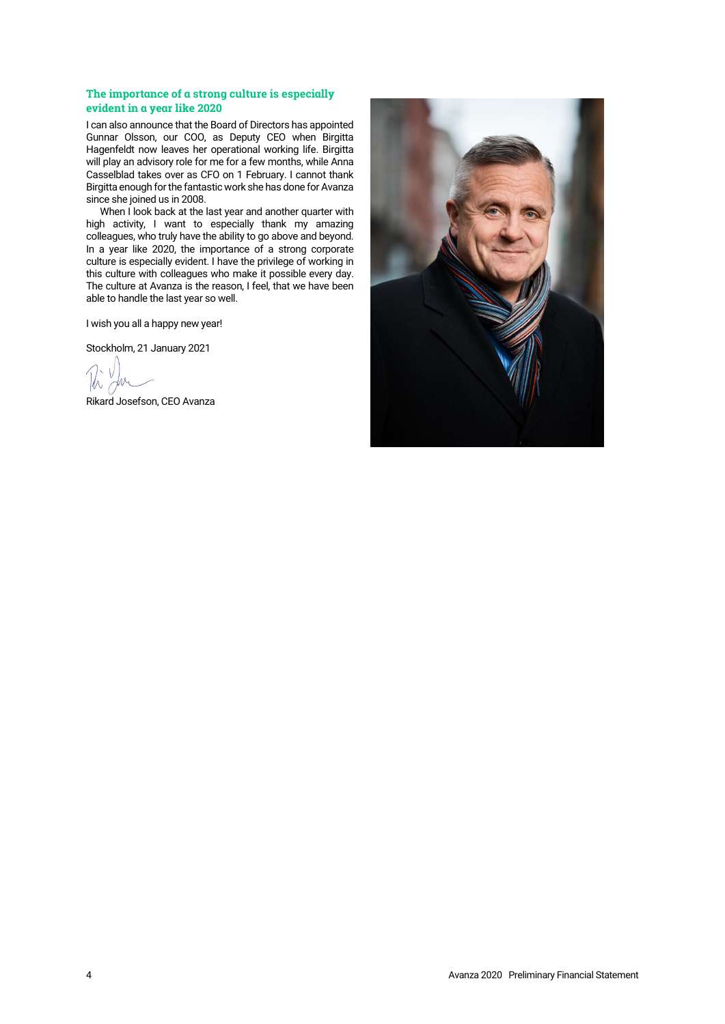# **The importance of a strong culture is especially evident in a year like 2020**

I can also announce that the Board of Directors has appointed Gunnar Olsson, our COO, as Deputy CEO when Birgitta Hagenfeldt now leaves her operational working life. Birgitta will play an advisory role for me for a few months, while Anna Casselblad takes over as CFO on 1 February. I cannot thank Birgitta enough for the fantastic work she has done for Avanza since she joined us in 2008.

When I look back at the last year and another quarter with high activity, I want to especially thank my amazing colleagues, who truly have the ability to go above and beyond. In a year like 2020, the importance of a strong corporate culture is especially evident. I have the privilege of working in this culture with colleagues who make it possible every day. The culture at Avanza is the reason, I feel, that we have been able to handle the last year so well.

I wish you all a happy new year!

Stockholm, 21 January 2021

Rikard Josefson, CEO Avanza

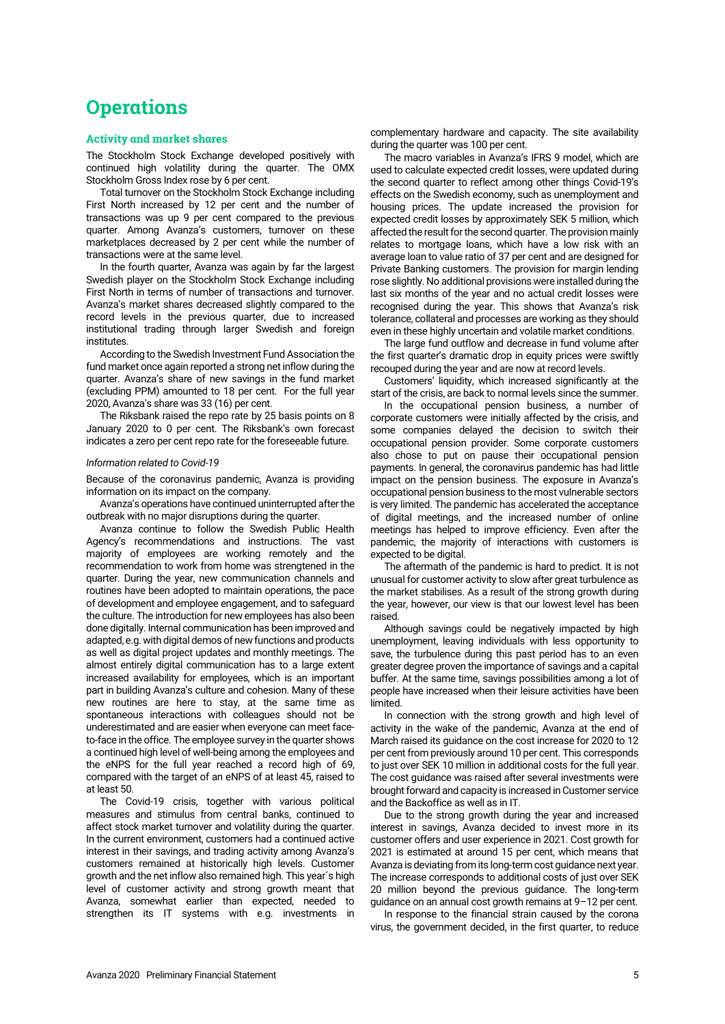# **Operations**

# **Activity and market shares**

The Stockholm Stock Exchange developed positively with continued high volatility during the quarter. The OMX Stockholm Gross Index rose by 6 per cent.

Total turnover on the Stockholm Stock Exchange including First North increased by 12 per cent and the number of transactions was up 9 per cent compared to the previous quarter. Among Avanza's customers, turnover on these marketplaces decreased by 2 per cent while the number of transactions were at the same level.

In the fourth quarter, Avanza was again by far the largest Swedish player on the Stockholm Stock Exchange including First North in terms of number of transactions and turnover. Avanza's market shares decreased slightly compared to the record levels in the previous quarter, due to increased institutional trading through larger Swedish and foreign institutes.

According to the Swedish Investment Fund Association the fund market once again reported a strong net inflow during the quarter. Avanza's share of new savings in the fund market (excluding PPM) amounted to 18 per cent. For the full year 2020, Avanza's share was 33 (16) per cent.

The Riksbank raised the repo rate by 25 basis points on 8 January 2020 to 0 per cent. The Riksbank's own forecast indicates a zero per cent repo rate for the foreseeable future.

#### *Information related to Covid-19*

Because of the coronavirus pandemic, Avanza is providing information on its impact on the company.

Avanza's operations have continued uninterrupted after the outbreak with no major disruptions during the quarter.

Avanza continue to follow the Swedish Public Health Agency's recommendations and instructions. The vast majority of employees are working remotely and the recommendation to work from home was strengtened in the quarter. During the year, new communication channels and routines have been adopted to maintain operations, the pace of development and employee engagement, and to safeguard the culture. The introduction for new employees has also been done digitally. Internal communication has been improved and adapted, e.g. with digital demos of new functions and products as well as digital project updates and monthly meetings. The almost entirely digital communication has to a large extent increased availability for employees, which is an important part in building Avanza's culture and cohesion. Many of these new routines are here to stay, at the same time as spontaneous interactions with colleagues should not be underestimated and are easier when everyone can meet faceto-face in the office. The employee survey in the quarter shows a continued high level of well-being among the employees and the eNPS for the full year reached a record high of 69, compared with the target of an eNPS of at least 45, raised to at least 50.

The Covid-19 crisis, together with various political measures and stimulus from central banks, continued to affect stock market turnover and volatility during the quarter. In the current environment, customers had a continued active interest in their savings, and trading activity among Avanza's customers remained at historically high levels. Customer growth and the net inflow also remained high. This year´s high level of customer activity and strong growth meant that Avanza, somewhat earlier than expected, needed to strengthen its IT systems with e.g. investments in complementary hardware and capacity. The site availability during the quarter was 100 per cent.

The macro variables in Avanza's IFRS 9 model, which are used to calculate expected credit losses, were updated during the second quarter to reflect among other things Covid-19's effects on the Swedish economy, such as unemployment and housing prices. The update increased the provision for expected credit losses by approximately SEK 5 million, which affected the result for the second quarter. The provision mainly relates to mortgage loans, which have a low risk with an average loan to value ratio of 37 per cent and are designed for Private Banking customers. The provision for margin lending rose slightly. No additional provisions were installed during the last six months of the year and no actual credit losses were recognised during the year. This shows that Avanza's risk tolerance, collateral and processes are working as they should even in these highly uncertain and volatile market conditions.

The large fund outflow and decrease in fund volume after the first quarter's dramatic drop in equity prices were swiftly recouped during the year and are now at record levels.

Customers' liquidity, which increased significantly at the start of the crisis, are back to normal levels since the summer.

In the occupational pension business, a number of corporate customers were initially affected by the crisis, and some companies delayed the decision to switch their occupational pension provider. Some corporate customers also chose to put on pause their occupational pension payments. In general, the coronavirus pandemic has had little impact on the pension business. The exposure in Avanza's occupational pension business to the most vulnerable sectors is very limited. The pandemic has accelerated the acceptance of digital meetings, and the increased number of online meetings has helped to improve efficiency. Even after the pandemic, the majority of interactions with customers is expected to be digital.

The aftermath of the pandemic is hard to predict. It is not unusual for customer activity to slow after great turbulence as the market stabilises. As a result of the strong growth during the year, however, our view is that our lowest level has been raised.

Although savings could be negatively impacted by high unemployment, leaving individuals with less opportunity to save, the turbulence during this past period has to an even greater degree proven the importance of savings and a capital buffer. At the same time, savings possibilities among a lot of people have increased when their leisure activities have been limited.

In connection with the strong growth and high level of activity in the wake of the pandemic, Avanza at the end of March raised its guidance on the cost increase for 2020 to 12 per cent from previously around 10 per cent. This corresponds to just over SEK 10 million in additional costs for the full year. The cost guidance was raised after several investments were brought forward and capacity is increased in Customer service and the Backoffice as well as in IT.

Due to the strong growth during the year and increased interest in savings, Avanza decided to invest more in its customer offers and user experience in 2021. Cost growth for 2021 is estimated at around 15 per cent, which means that Avanza is deviating from its long-term cost guidance next year. The increase corresponds to additional costs of just over SEK 20 million beyond the previous guidance. The long-term guidance on an annual cost growth remains at 9–12 per cent.

In response to the financial strain caused by the corona virus, the government decided, in the first quarter, to reduce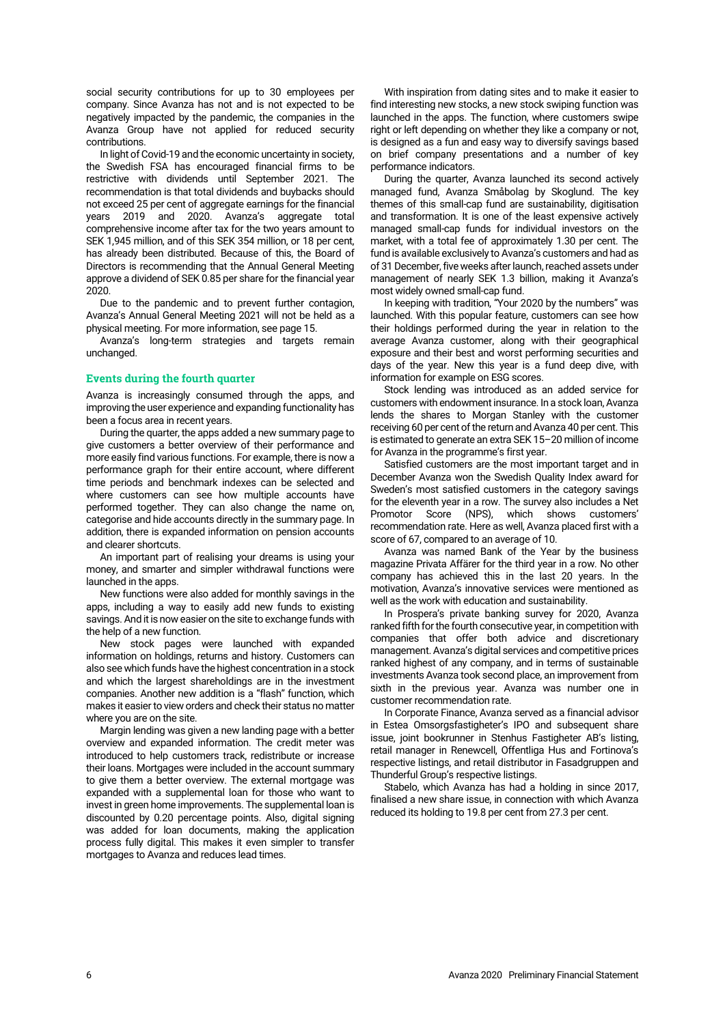social security contributions for up to 30 employees per company. Since Avanza has not and is not expected to be negatively impacted by the pandemic, the companies in the Avanza Group have not applied for reduced security contributions.

In light of Covid-19 and the economic uncertainty in society, the Swedish FSA has encouraged financial firms to be restrictive with dividends until September 2021. The recommendation is that total dividends and buybacks should not exceed 25 per cent of aggregate earnings for the financial years 2019 and 2020. Avanza's aggregate total comprehensive income after tax for the two years amount to SEK 1,945 million, and of this SEK 354 million, or 18 per cent, has already been distributed. Because of this, the Board of Directors is recommending that the Annual General Meeting approve a dividend of SEK 0.85 per share for the financial year 2020.

Due to the pandemic and to prevent further contagion, Avanza's Annual General Meeting 2021 will not be held as a physical meeting. For more information, see page 15.

Avanza's long-term strategies and targets remain unchanged.

# **Events during the fourth quarter**

Avanza is increasingly consumed through the apps, and improving the user experience and expanding functionality has been a focus area in recent years.

During the quarter, the apps added a new summary page to give customers a better overview of their performance and more easily find various functions. For example, there is now a performance graph for their entire account, where different time periods and benchmark indexes can be selected and where customers can see how multiple accounts have performed together. They can also change the name on, categorise and hide accounts directly in the summary page. In addition, there is expanded information on pension accounts and clearer shortcuts.

An important part of realising your dreams is using your money, and smarter and simpler withdrawal functions were launched in the apps.

New functions were also added for monthly savings in the apps, including a way to easily add new funds to existing savings. And it is now easier on the site to exchange funds with the help of a new function.

New stock pages were launched with expanded information on holdings, returns and history. Customers can also see which funds have the highest concentration in a stock and which the largest shareholdings are in the investment companies. Another new addition is a "flash" function, which makes it easier to view orders and check their status no matter where you are on the site.

Margin lending was given a new landing page with a better overview and expanded information. The credit meter was introduced to help customers track, redistribute or increase their loans. Mortgages were included in the account summary to give them a better overview. The external mortgage was expanded with a supplemental loan for those who want to invest in green home improvements. The supplemental loan is discounted by 0.20 percentage points. Also, digital signing was added for loan documents, making the application process fully digital. This makes it even simpler to transfer mortgages to Avanza and reduces lead times.

With inspiration from dating sites and to make it easier to find interesting new stocks, a new stock swiping function was launched in the apps. The function, where customers swipe right or left depending on whether they like a company or not, is designed as a fun and easy way to diversify savings based on brief company presentations and a number of key performance indicators.

During the quarter, Avanza launched its second actively managed fund, Avanza Småbolag by Skoglund. The key themes of this small-cap fund are sustainability, digitisation and transformation. It is one of the least expensive actively managed small-cap funds for individual investors on the market, with a total fee of approximately 1.30 per cent. The fund is available exclusively to Avanza's customers and had as of 31 December, five weeks after launch, reached assets under management of nearly SEK 1.3 billion, making it Avanza's most widely owned small-cap fund.

In keeping with tradition, "Your 2020 by the numbers" was launched. With this popular feature, customers can see how their holdings performed during the year in relation to the average Avanza customer, along with their geographical exposure and their best and worst performing securities and days of the year. New this year is a fund deep dive, with information for example on ESG scores.

Stock lending was introduced as an added service for customers with endowment insurance. In a stock loan, Avanza lends the shares to Morgan Stanley with the customer receiving 60 per cent of the return and Avanza 40 per cent. This is estimated to generate an extra SEK 15–20 million of income for Avanza in the programme's first year.

Satisfied customers are the most important target and in December Avanza won the Swedish Quality Index award for Sweden's most satisfied customers in the category savings for the eleventh year in a row. The survey also includes a Net Promotor Score (NPS), which shows customers' recommendation rate. Here as well, Avanza placed first with a score of 67, compared to an average of 10.

Avanza was named Bank of the Year by the business magazine Privata Affärer for the third year in a row. No other company has achieved this in the last 20 years. In the motivation, Avanza's innovative services were mentioned as well as the work with education and sustainability.

In Prospera's private banking survey for 2020, Avanza ranked fifth for the fourth consecutive year, in competition with companies that offer both advice and discretionary management. Avanza's digital services and competitive prices ranked highest of any company, and in terms of sustainable investments Avanza took second place, an improvement from sixth in the previous year. Avanza was number one in customer recommendation rate.

In Corporate Finance, Avanza served as a financial advisor in Estea Omsorgsfastigheter's IPO and subsequent share issue, joint bookrunner in Stenhus Fastigheter AB's listing, retail manager in Renewcell, Offentliga Hus and Fortinova's respective listings, and retail distributor in Fasadgruppen and Thunderful Group's respective listings.

Stabelo, which Avanza has had a holding in since 2017, finalised a new share issue, in connection with which Avanza reduced its holding to 19.8 per cent from 27.3 per cent.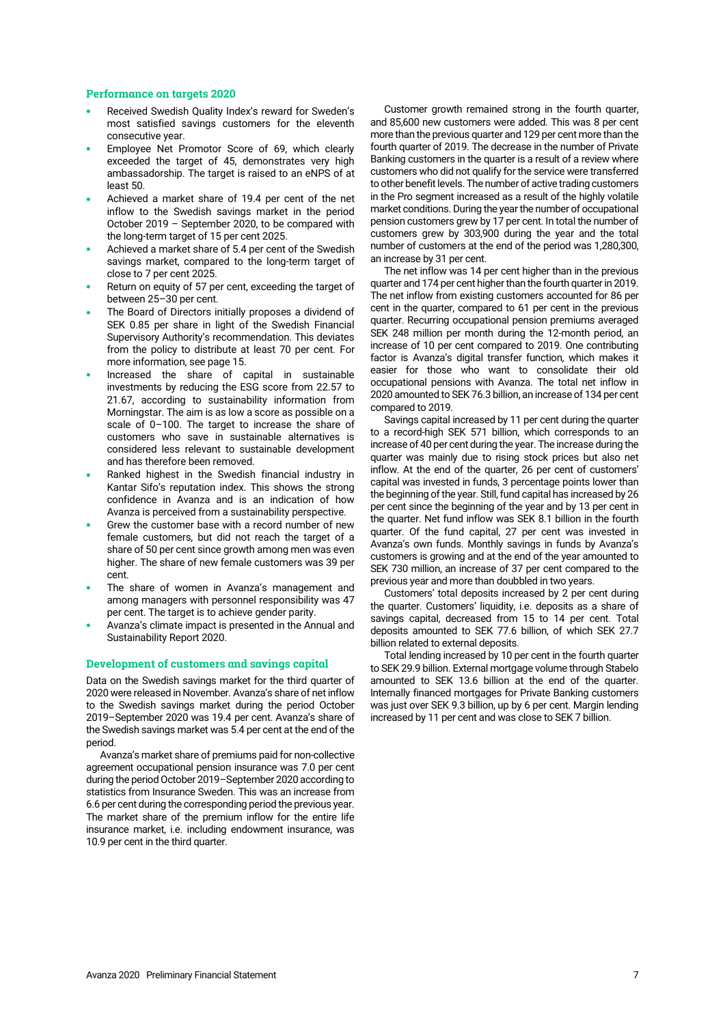### **Performance on targets 2020**

- Received Swedish Quality Index's reward for Sweden's most satisfied savings customers for the eleventh consecutive year.
- Employee Net Promotor Score of 69, which clearly exceeded the target of 45, demonstrates very high ambassadorship. The target is raised to an eNPS of at least 50.
- Achieved a market share of 19.4 per cent of the net inflow to the Swedish savings market in the period October 2019 – September 2020, to be compared with the long-term target of 15 per cent 2025.
- Achieved a market share of 5.4 per cent of the Swedish savings market, compared to the long-term target of close to 7 per cent 2025.
- Return on equity of 57 per cent, exceeding the target of between 25–30 per cent.
- The Board of Directors initially proposes a dividend of SEK 0.85 per share in light of the Swedish Financial Supervisory Authority's recommendation. This deviates from the policy to distribute at least 70 per cent. For more information, see page 15.
- Increased the share of capital in sustainable investments by reducing the ESG score from 22.57 to 21.67, according to sustainability information from Morningstar. The aim is as low a score as possible on a scale of 0–100. The target to increase the share of customers who save in sustainable alternatives is considered less relevant to sustainable development and has therefore been removed.
- Ranked highest in the Swedish financial industry in Kantar Sifo's reputation index. This shows the strong confidence in Avanza and is an indication of how Avanza is perceived from a sustainability perspective.
- Grew the customer base with a record number of new female customers, but did not reach the target of a share of 50 per cent since growth among men was even higher. The share of new female customers was 39 per cent.
- The share of women in Avanza's management and among managers with personnel responsibility was 47 per cent. The target is to achieve gender parity.
- Avanza's climate impact is presented in the Annual and Sustainability Report 2020.

# **Development of customers and savings capital**

Data on the Swedish savings market for the third quarter of 2020 were released in November. Avanza's share of net inflow to the Swedish savings market during the period October 2019–September 2020 was 19.4 per cent. Avanza's share of the Swedish savings market was 5.4 per cent at the end of the period.

Avanza's market share of premiums paid for non-collective agreement occupational pension insurance was 7.0 per cent during the period October 2019–September 2020 according to statistics from Insurance Sweden. This was an increase from 6.6 per cent during the corresponding period the previous year. The market share of the premium inflow for the entire life insurance market, i.e. including endowment insurance, was 10.9 per cent in the third quarter.

Customer growth remained strong in the fourth quarter, and 85,600 new customers were added. This was 8 per cent more than the previous quarter and 129 per cent more than the fourth quarter of 2019. The decrease in the number of Private Banking customers in the quarter is a result of a review where customers who did not qualify for the service were transferred to other benefit levels. The number of active trading customers in the Pro segment increased as a result of the highly volatile market conditions.During the year the number of occupational pension customers grew by 17 per cent. In total the number of customers grew by 303,900 during the year and the total number of customers at the end of the period was 1,280,300, an increase by 31 per cent.

The net inflow was 14 per cent higher than in the previous quarter and 174 per cent higher than the fourth quarter in 2019. The net inflow from existing customers accounted for 86 per cent in the quarter, compared to 61 per cent in the previous quarter. Recurring occupational pension premiums averaged SEK 248 million per month during the 12-month period, an increase of 10 per cent compared to 2019. One contributing factor is Avanza's digital transfer function, which makes it easier for those who want to consolidate their old occupational pensions with Avanza. The total net inflow in 2020 amounted to SEK 76.3 billion, an increase of 134 per cent compared to 2019.

Savings capital increased by 11 per cent during the quarter to a record-high SEK 571 billion, which corresponds to an increase of 40 per cent during the year. The increase during the quarter was mainly due to rising stock prices but also net inflow. At the end of the quarter, 26 per cent of customers' capital was invested in funds, 3 percentage points lower than the beginning of the year. Still, fund capital has increased by 26 per cent since the beginning of the year and by 13 per cent in the quarter. Net fund inflow was SEK 8.1 billion in the fourth quarter. Of the fund capital, 27 per cent was invested in Avanza's own funds. Monthly savings in funds by Avanza's customers is growing and at the end of the year amounted to SEK 730 million, an increase of 37 per cent compared to the previous year and more than doubbled in two years.

Customers' total deposits increased by 2 per cent during the quarter. Customers' liquidity, i.e. deposits as a share of savings capital, decreased from 15 to 14 per cent. Total deposits amounted to SEK 77.6 billion, of which SEK 27.7 billion related to external deposits.

Total lending increased by 10 per cent in the fourth quarter to SEK 29.9 billion. External mortgage volume through Stabelo amounted to SEK 13.6 billion at the end of the quarter. Internally financed mortgages for Private Banking customers was just over SEK 9.3 billion, up by 6 per cent. Margin lending increased by 11 per cent and was close to SEK 7 billion.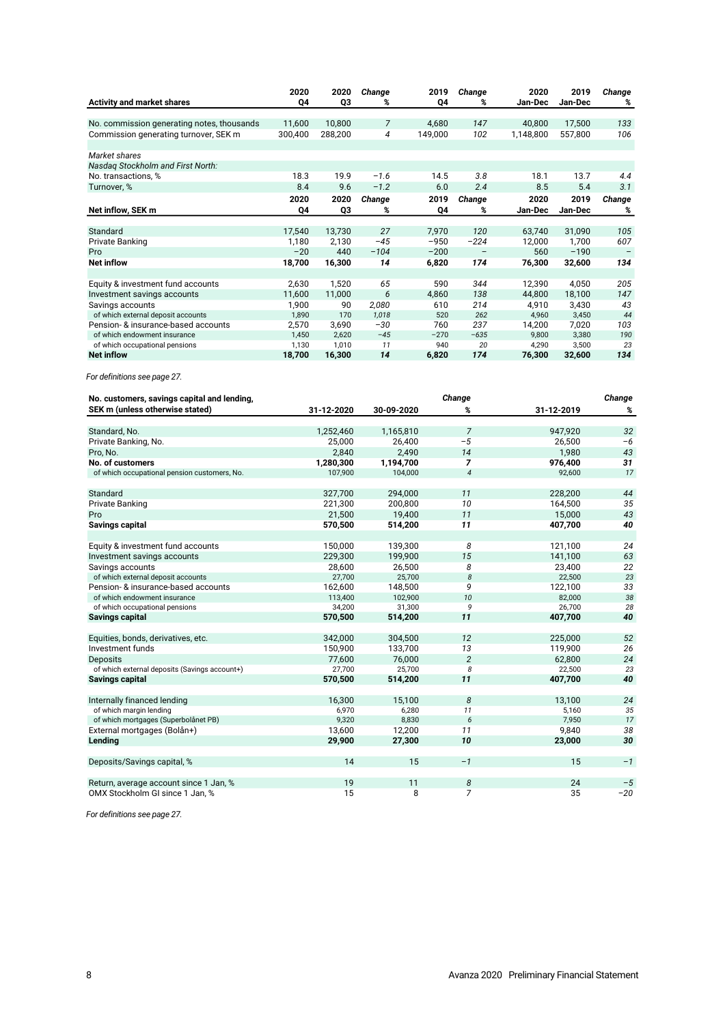|                                            | 2020    | 2020    | Change         | 2019    | Change                   | 2020      | 2019    | Change |
|--------------------------------------------|---------|---------|----------------|---------|--------------------------|-----------|---------|--------|
| <b>Activity and market shares</b>          | Q4      | Q3      | %              | Q4      | %                        | Jan-Dec   | Jan-Dec | %      |
| No. commission generating notes, thousands | 11,600  | 10,800  | $\overline{7}$ | 4,680   | 147                      | 40,800    | 17,500  | 133    |
| Commission generating turnover, SEK m      | 300,400 | 288,200 | 4              | 149,000 | 102                      | 1,148,800 | 557,800 | 106    |
|                                            |         |         |                |         |                          |           |         |        |
| Market shares                              |         |         |                |         |                          |           |         |        |
| Nasdag Stockholm and First North:          |         |         |                |         |                          |           |         |        |
| No. transactions, %                        | 18.3    | 19.9    | $-1.6$         | 14.5    | 3.8                      | 18.1      | 13.7    | 4.4    |
| Turnover, %                                | 8.4     | 9.6     | $-1.2$         | 6.0     | 2.4                      | 8.5       | 5.4     | 3.1    |
|                                            | 2020    | 2020    | Change         | 2019    | Change                   | 2020      | 2019    | Change |
| Net inflow, SEK m                          | Q4      | Q3      | %              | Q4      | %                        | Jan-Dec   | Jan-Dec | %      |
|                                            |         |         |                |         |                          |           |         |        |
| Standard                                   | 17,540  | 13,730  | 27             | 7,970   | 120                      | 63,740    | 31,090  | 105    |
| <b>Private Banking</b>                     | 1,180   | 2,130   | $-45$          | $-950$  | $-224$                   | 12,000    | 1,700   | 607    |
| Pro                                        | $-20$   | 440     | $-104$         | $-200$  | $\overline{\phantom{m}}$ | 560       | $-190$  |        |
| <b>Net inflow</b>                          | 18,700  | 16,300  | 14             | 6,820   | 174                      | 76,300    | 32,600  | 134    |
|                                            |         |         |                |         |                          |           |         |        |
| Equity & investment fund accounts          | 2,630   | 1,520   | 65             | 590     | 344                      | 12,390    | 4,050   | 205    |
| Investment savings accounts                | 11,600  | 11,000  | 6              | 4,860   | 138                      | 44,800    | 18,100  | 147    |
| Savings accounts                           | 1,900   | 90      | 2,080          | 610     | 214                      | 4,910     | 3,430   | 43     |
| of which external deposit accounts         | 1,890   | 170     | 1.018          | 520     | 262                      | 4.960     | 3,450   | 44     |
| Pension- & insurance-based accounts        | 2,570   | 3,690   | $-30$          | 760     | 237                      | 14,200    | 7,020   | 103    |
| of which endowment insurance               | 1,450   | 2,620   | $-45$          | $-270$  | $-635$                   | 9.800     | 3,380   | 190    |
| of which occupational pensions             | 1,130   | 1,010   | 11             | 940     | 20                       | 4,290     | 3,500   | 23     |
| <b>Net inflow</b>                          | 18,700  | 16,300  | 14             | 6,820   | 174                      | 76,300    | 32,600  | 134    |

*For definitions see page 27.*

| No. customers, savings capital and lending,   |            |            | Change         |            | Change |
|-----------------------------------------------|------------|------------|----------------|------------|--------|
| SEK m (unless otherwise stated)               | 31-12-2020 | 30-09-2020 | %              | 31-12-2019 | %      |
| Standard, No.                                 | 1,252,460  | 1,165,810  | $\overline{7}$ | 947,920    | 32     |
| Private Banking, No.                          | 25,000     | 26,400     | $-5$           | 26,500     | $-6$   |
| Pro, No.                                      | 2,840      | 2,490      | 14             | 1,980      | 43     |
| No. of customers                              | 1,280,300  | 1,194,700  | $\overline{7}$ | 976,400    | 31     |
| of which occupational pension customers, No.  | 107,900    | 104,000    | $\sqrt{4}$     | 92,600     | 17     |
| Standard                                      | 327.700    | 294.000    | 11             | 228.200    | 44     |
| Private Banking                               | 221,300    | 200,800    | 10             | 164,500    | 35     |
| Pro                                           | 21,500     | 19,400     | 11             | 15,000     | 43     |
| Savings capital                               | 570,500    | 514,200    | 11             | 407,700    | 40     |
|                                               |            |            |                |            |        |
| Equity & investment fund accounts             | 150,000    | 139,300    | 8              | 121,100    | 24     |
| Investment savings accounts                   | 229,300    | 199,900    | 15             | 141,100    | 63     |
| Savings accounts                              | 28,600     | 26,500     | 8              | 23,400     | 22     |
| of which external deposit accounts            | 27,700     | 25,700     | 8              | 22,500     | 23     |
| Pension- & insurance-based accounts           | 162,600    | 148,500    | 9              | 122,100    | 33     |
| of which endowment insurance                  | 113,400    | 102.900    | 10             | 82,000     | 38     |
| of which occupational pensions                | 34.200     | 31,300     | 9              | 26.700     | 28     |
| <b>Savings capital</b>                        | 570,500    | 514,200    | 11             | 407,700    | 40     |
| Equities, bonds, derivatives, etc.            | 342.000    | 304.500    | 12             | 225.000    | 52     |
| Investment funds                              | 150,900    | 133,700    | 13             | 119,900    | 26     |
| <b>Deposits</b>                               | 77,600     | 76,000     | $\overline{2}$ | 62,800     | 24     |
| of which external deposits (Savings account+) | 27,700     | 25,700     | 8              | 22,500     | 23     |
| Savings capital                               | 570,500    | 514,200    | 11             | 407,700    | 40     |
|                                               |            |            |                |            |        |
| Internally financed lending                   | 16.300     | 15.100     | 8              | 13,100     | 24     |
| of which margin lending                       | 6,970      | 6,280      | 11             | 5,160      | 35     |
| of which mortgages (Superbolånet PB)          | 9,320      | 8,830      | 6              | 7,950      | 17     |
| External mortgages (Bolån+)                   | 13,600     | 12,200     | 11             | 9,840      | 38     |
| Lending                                       | 29,900     | 27,300     | 10             | 23,000     | 30     |
| Deposits/Savings capital, %                   | 14         | 15         | $-1$           | 15         | $-1$   |
| Return, average account since 1 Jan, %        | 19         | 11         | 8              | 24         | $-5$   |
| OMX Stockholm GI since 1 Jan. %               | 15         | 8          | 7              | 35         | $-20$  |

*For definitions see page 27.*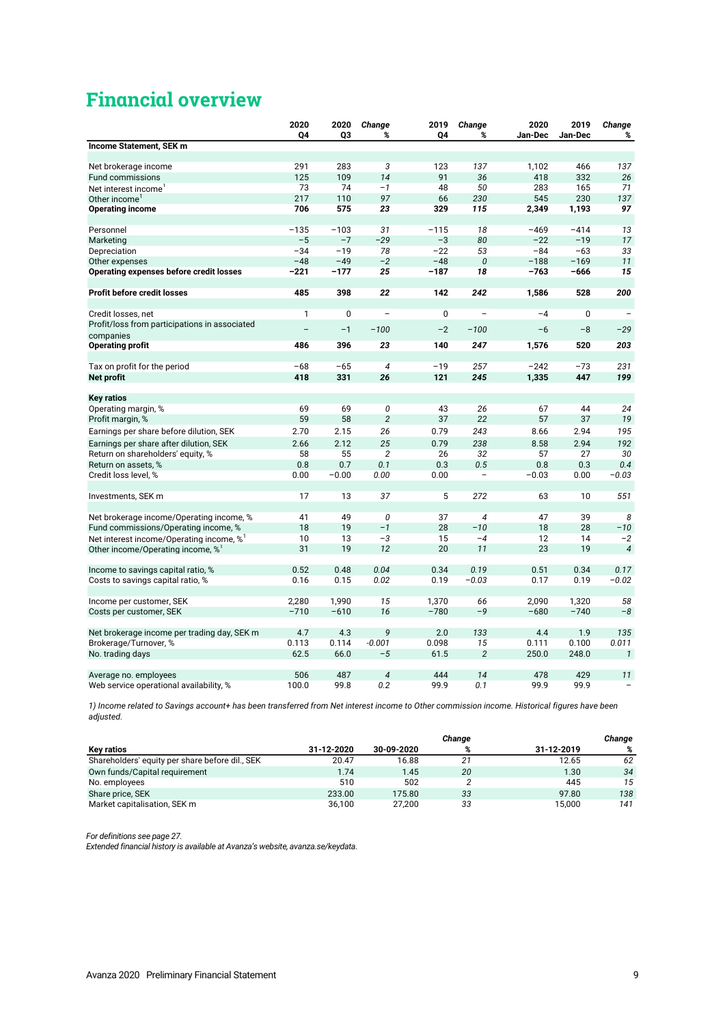# **Financial overview**

|                                                                                                       | 2020         | 2020       | Change                   | 2019       | Change                   | 2020       | 2019        | Change                   |
|-------------------------------------------------------------------------------------------------------|--------------|------------|--------------------------|------------|--------------------------|------------|-------------|--------------------------|
|                                                                                                       | Q4           | Q3         | %                        | Q4         | %                        | Jan-Dec    | Jan-Dec     | %                        |
| Income Statement, SEK m                                                                               |              |            |                          |            |                          |            |             |                          |
|                                                                                                       |              |            |                          |            |                          |            |             |                          |
| Net brokerage income                                                                                  | 291          | 283        | 3                        | 123        | 137                      | 1,102      | 466         | 137                      |
| Fund commissions                                                                                      | 125          | 109        | 14                       | 91         | 36                       | 418        | 332         | 26                       |
| Net interest income                                                                                   | 73           | 74         | $-1$                     | 48         | 50                       | 283        | 165         | 71                       |
| Other income'                                                                                         | 217          | 110        | 97                       | 66         | 230                      | 545        | 230         | 137                      |
| <b>Operating income</b>                                                                               | 706          | 575        | 23                       | 329        | 115                      | 2,349      | 1,193       | 97                       |
| Personnel                                                                                             | $-135$       | $-103$     | 31                       | $-115$     | 18                       | $-469$     | $-414$      | 13                       |
| Marketing                                                                                             | $-5$         | $-7$       | $-29$                    | $-3$       | 80                       | $-22$      | $-19$       | 17                       |
| Depreciation                                                                                          | $-34$        | $-19$      | 78                       | $-22$      | 53                       | $-84$      | $-63$       | 33                       |
| Other expenses                                                                                        | $-48$        | $-49$      | $-2$                     | $-48$      | 0                        | $-188$     | $-169$      | 11                       |
| Operating expenses before credit losses                                                               | $-221$       | $-177$     | 25                       | $-187$     | 18                       | $-763$     | -666        | 15                       |
| <b>Profit before credit losses</b>                                                                    | 485          | 398        | 22                       | 142        | 242                      | 1,586      | 528         | 200                      |
| Credit losses, net                                                                                    | $\mathbf{1}$ | 0          | $\overline{\phantom{m}}$ | 0          |                          | $-4$       | $\mathbf 0$ |                          |
| Profit/loss from participations in associated                                                         |              | $-1$       | $-100$                   | $-2$       | $-100$                   | $-6$       | $-8$        | $-29$                    |
| companies                                                                                             |              |            |                          |            |                          |            |             |                          |
| <b>Operating profit</b>                                                                               | 486          | 396        | 23                       | 140        | 247                      | 1,576      | 520         | 203                      |
| Tax on profit for the period                                                                          | $-68$        | $-65$      | $\overline{4}$           | $-19$      | 257                      | $-242$     | $-73$       | 231                      |
| <b>Net profit</b>                                                                                     | 418          | 331        | 26                       | 121        | 245                      | 1,335      | 447         | 199                      |
| <b>Key ratios</b>                                                                                     |              |            |                          |            |                          |            |             |                          |
| Operating margin, %                                                                                   | 69           | 69         | 0                        | 43         | 26                       | 67         | 44          | 24                       |
| Profit margin, %                                                                                      | 59           | 58         | $\overline{2}$           | 37         | 22                       | 57         | 37          | 19                       |
|                                                                                                       | 2.70         | 2.15       | 26                       | 0.79       | 243                      | 8.66       | 2.94        | 195                      |
| Earnings per share before dilution, SEK                                                               |              |            |                          |            |                          |            |             |                          |
| Earnings per share after dilution, SEK                                                                | 2.66<br>58   | 2.12<br>55 | 25<br>$\overline{2}$     | 0.79<br>26 | 238<br>32                | 8.58<br>57 | 2.94<br>27  | 192<br>30                |
| Return on shareholders' equity, %<br>Return on assets, %                                              | 0.8          | 0.7        | 0.1                      | 0.3        | 0.5                      | 0.8        | 0.3         | 0.4                      |
| Credit loss level, %                                                                                  | 0.00         | $-0.00$    | 0.00                     | 0.00       | $\overline{\phantom{0}}$ | $-0.03$    | 0.00        | $-0.03$                  |
|                                                                                                       |              |            |                          |            |                          |            |             |                          |
| Investments, SEK m                                                                                    | 17           | 13         | 37                       | 5          | 272                      | 63         | 10          | 551                      |
|                                                                                                       | 41           | 49         | 0                        | 37         | $\overline{4}$           | 47         | 39          | 8                        |
| Net brokerage income/Operating income, %                                                              | 18           | 19         | $-1$                     | 28         | $-10$                    | 18         | 28          | $-10$                    |
| Fund commissions/Operating income, %                                                                  | 10           | 13         | $-3$                     | 15         | $-4$                     | 12         | 14          | $-2$                     |
| Net interest income/Operating income, % <sup>1</sup><br>Other income/Operating income, % <sup>1</sup> | 31           | 19         | 12                       | 20         | 11                       | 23         | 19          | $\overline{4}$           |
|                                                                                                       |              |            |                          |            |                          |            |             |                          |
| Income to savings capital ratio, %                                                                    | 0.52         | 0.48       | 0.04                     | 0.34       | 0.19                     | 0.51       | 0.34        | 0.17                     |
| Costs to savings capital ratio, %                                                                     | 0.16         | 0.15       | 0.02                     | 0.19       | $-0.03$                  | 0.17       | 0.19        | $-0.02$                  |
|                                                                                                       |              |            |                          |            |                          |            |             |                          |
| Income per customer, SEK                                                                              | 2,280        | 1,990      | 15                       | 1,370      | 66                       | 2,090      | 1,320       | 58                       |
| Costs per customer, SEK                                                                               | $-710$       | $-610$     | 16                       | $-780$     | $-9$                     | $-680$     | $-740$      | $-8$                     |
| Net brokerage income per trading day, SEK m                                                           | 4.7          | 4.3        | 9                        | 2.0        | 133                      | 4.4        | 1.9         | 135                      |
| Brokerage/Turnover, %                                                                                 | 0.113        | 0.114      | $-0.001$                 | 0.098      | 15                       | 0.111      | 0.100       | 0.011                    |
| No. trading days                                                                                      | 62.5         | 66.0       | $-5$                     | 61.5       | $\overline{2}$           | 250.0      | 248.0       | $\mathbf{1}$             |
|                                                                                                       |              |            |                          |            |                          |            |             |                          |
| Average no. employees                                                                                 | 506          | 487        | $\overline{4}$           | 444        | 14                       | 478        | 429         | 11                       |
| Web service operational availability, %                                                               | 100.0        | 99.8       | 0.2                      | 99.9       | 0.1                      | 99.9       | 99.9        | $\overline{\phantom{0}}$ |

*1) Income related to Savings account+ has been transferred from Net interest income to Other commission income. Historical figures have been adjusted.*

|                                                 |            |            | Change |            | Change |
|-------------------------------------------------|------------|------------|--------|------------|--------|
| <b>Kev ratios</b>                               | 31-12-2020 | 30-09-2020 | %      | 31-12-2019 | %      |
| Shareholders' equity per share before dil., SEK | 20.47      | 16.88      | 21     | 12.65      | 62     |
| Own funds/Capital requirement                   | 1.74       | 1.45       | 20     | 1.30       | 34     |
| No. employees                                   | 510        | 502        |        | 445        | 15     |
| Share price, SEK                                | 233.00     | 175.80     | 33     | 97.80      | 138    |
| Market capitalisation, SEK m                    | 36.100     | 27.200     | 33     | 15.000     | 141    |

*For definitions see page 27.*

*Extended financial history is available at Avanza's website, avanza.se/keydata.*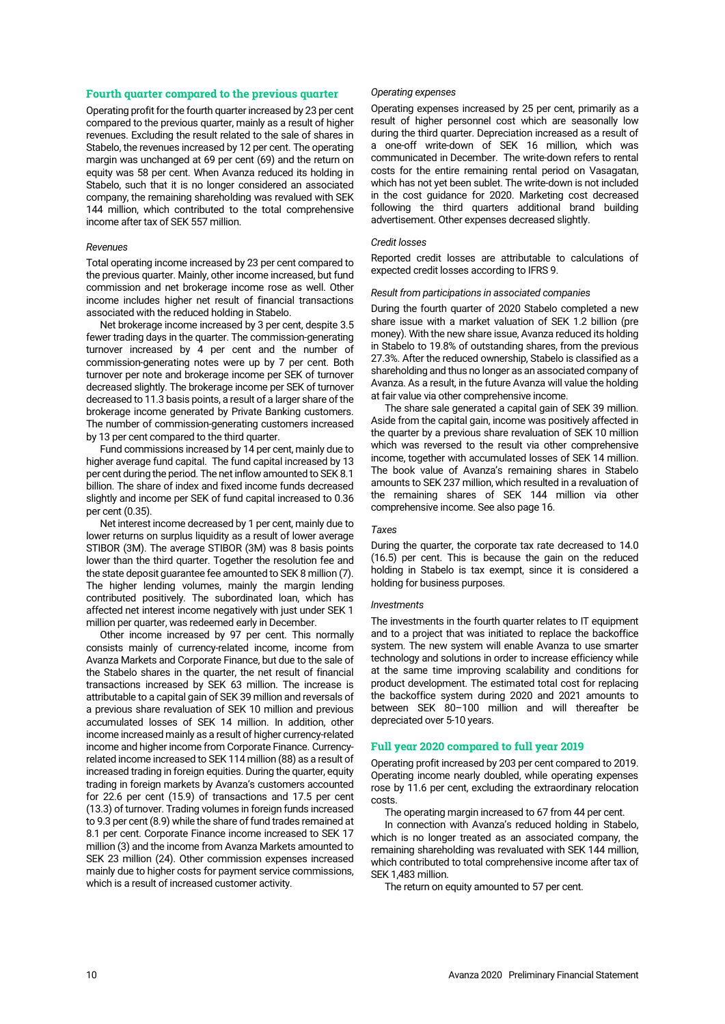# **Fourth quarter compared to the previous quarter**

Operating profit for the fourth quarter increased by 23 per cent compared to the previous quarter, mainly as a result of higher revenues. Excluding the result related to the sale of shares in Stabelo, the revenues increased by 12 per cent. The operating margin was unchanged at 69 per cent (69) and the return on equity was 58 per cent. When Avanza reduced its holding in Stabelo, such that it is no longer considered an associated company, the remaining shareholding was revalued with SEK 144 million, which contributed to the total comprehensive income after tax of SEK 557 million.

### *Revenues*

Total operating income increased by 23 per cent compared to the previous quarter. Mainly, other income increased, but fund commission and net brokerage income rose as well. Other income includes higher net result of financial transactions associated with the reduced holding in Stabelo.

Net brokerage income increased by 3 per cent, despite 3.5 fewer trading days in the quarter. The commission-generating turnover increased by 4 per cent and the number of commission-generating notes were up by 7 per cent. Both turnover per note and brokerage income per SEK of turnover decreased slightly. The brokerage income per SEK of turnover decreased to 11.3 basis points, a result of a larger share of the brokerage income generated by Private Banking customers. The number of commission-generating customers increased by 13 per cent compared to the third quarter.

Fund commissions increased by 14 per cent, mainly due to higher average fund capital. The fund capital increased by 13 per cent during the period. The net inflow amounted to SEK 8.1 billion. The share of index and fixed income funds decreased slightly and income per SEK of fund capital increased to 0.36 per cent (0.35).

Net interest income decreased by 1 per cent, mainly due to lower returns on surplus liquidity as a result of lower average STIBOR (3M). The average STIBOR (3M) was 8 basis points lower than the third quarter. Together the resolution fee and the state deposit guarantee fee amounted to SEK 8 million (7). The higher lending volumes, mainly the margin lending contributed positively. The subordinated loan, which has affected net interest income negatively with just under SEK 1 million per quarter, was redeemed early in December.

Other income increased by 97 per cent. This normally consists mainly of currency-related income, income from Avanza Markets and Corporate Finance, but due to the sale of the Stabelo shares in the quarter, the net result of financial transactions increased by SEK 63 million. The increase is attributable to a capital gain of SEK 39 million and reversals of a previous share revaluation of SEK 10 million and previous accumulated losses of SEK 14 million. In addition, other income increased mainly as a result of higher currency-related income and higher income from Corporate Finance. Currencyrelated income increased to SEK 114 million (88) as a result of increased trading in foreign equities. During the quarter, equity trading in foreign markets by Avanza's customers accounted for 22.6 per cent (15.9) of transactions and 17.5 per cent (13.3) of turnover. Trading volumes in foreign funds increased to 9.3 per cent (8.9) while the share of fund trades remained at 8.1 per cent. Corporate Finance income increased to SEK 17 million (3) and the income from Avanza Markets amounted to SEK 23 million (24). Other commission expenses increased mainly due to higher costs for payment service commissions, which is a result of increased customer activity.

#### *Operating expenses*

Operating expenses increased by 25 per cent, primarily as a result of higher personnel cost which are seasonally low during the third quarter. Depreciation increased as a result of a one-off write-down of SEK 16 million, which was communicated in December. The write-down refers to rental costs for the entire remaining rental period on Vasagatan, which has not yet been sublet. The write-down is not included in the cost guidance for 2020. Marketing cost decreased following the third quarters additional brand building advertisement. Other expenses decreased slightly.

### *Credit losses*

Reported credit losses are attributable to calculations of expected credit losses according to IFRS 9.

### *Result from participations in associated companies*

During the fourth quarter of 2020 Stabelo completed a new share issue with a market valuation of SEK 1.2 billion (pre money). With the new share issue, Avanza reduced its holding in Stabelo to 19.8% of outstanding shares, from the previous 27.3%. After the reduced ownership, Stabelo is classified as a shareholding and thus no longer as an associated company of Avanza. As a result, in the future Avanza will value the holding at fair value via other comprehensive income.

The share sale generated a capital gain of SEK 39 million. Aside from the capital gain, income was positively affected in the quarter by a previous share revaluation of SEK 10 million which was reversed to the result via other comprehensive income, together with accumulated losses of SEK 14 million. The book value of Avanza's remaining shares in Stabelo amounts to SEK 237 million, which resulted in a revaluation of the remaining shares of SEK 144 million via other comprehensive income. See also page 16.

# *Taxes*

During the quarter, the corporate tax rate decreased to 14.0 (16.5) per cent. This is because the gain on the reduced holding in Stabelo is tax exempt, since it is considered a holding for business purposes.

### *Investments*

The investments in the fourth quarter relates to IT equipment and to a project that was initiated to replace the backoffice system. The new system will enable Avanza to use smarter technology and solutions in order to increase efficiency while at the same time improving scalability and conditions for product development. The estimated total cost for replacing the backoffice system during 2020 and 2021 amounts to between SEK 80–100 million and will thereafter be depreciated over 5-10 years.

### **Full year 2020 compared to full year 2019**

Operating profit increased by 203 per cent compared to 2019. Operating income nearly doubled, while operating expenses rose by 11.6 per cent, excluding the extraordinary relocation costs.

The operating margin increased to 67 from 44 per cent.

In connection with Avanza's reduced holding in Stabelo, which is no longer treated as an associated company, the remaining shareholding was revaluated with SEK 144 million, which contributed to total comprehensive income after tax of SEK 1,483 million.

The return on equity amounted to 57 per cent.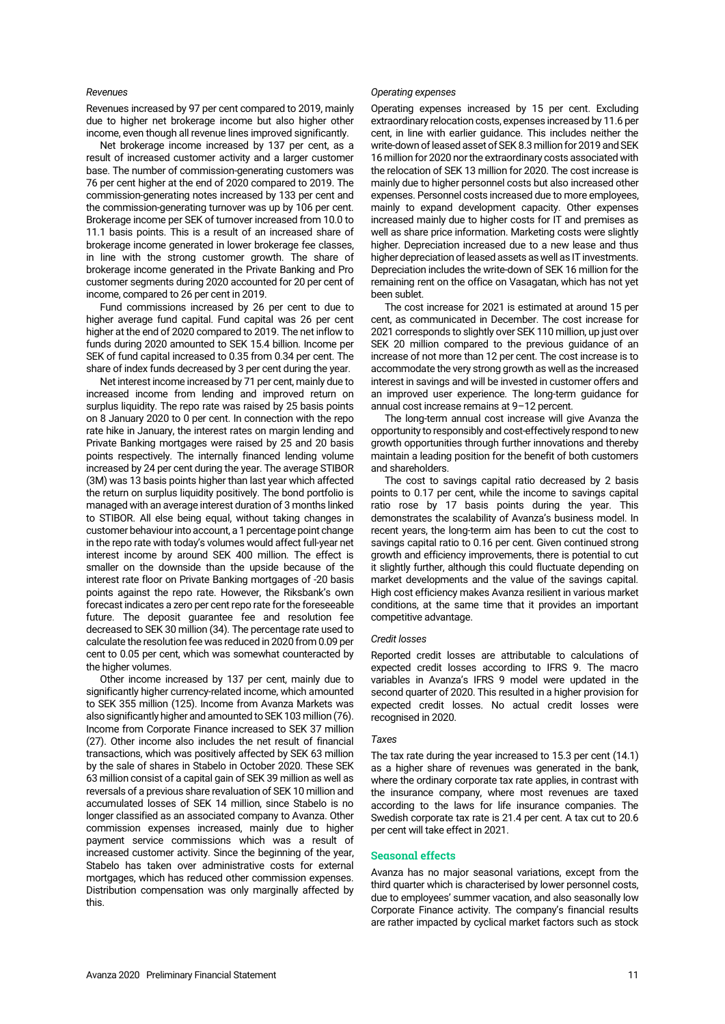### *Revenues*

Revenues increased by 97 per cent compared to 2019, mainly due to higher net brokerage income but also higher other income, even though all revenue lines improved significantly.

Net brokerage income increased by 137 per cent, as a result of increased customer activity and a larger customer base. The number of commission-generating customers was 76 per cent higher at the end of 2020 compared to 2019. The commission-generating notes increased by 133 per cent and the commission-generating turnover was up by 106 per cent. Brokerage income per SEK of turnover increased from 10.0 to 11.1 basis points. This is a result of an increased share of brokerage income generated in lower brokerage fee classes, in line with the strong customer growth. The share of brokerage income generated in the Private Banking and Pro customer segments during 2020 accounted for 20 per cent of income, compared to 26 per cent in 2019.

Fund commissions increased by 26 per cent to due to higher average fund capital. Fund capital was 26 per cent higher at the end of 2020 compared to 2019. The net inflow to funds during 2020 amounted to SEK 15.4 billion. Income per SEK of fund capital increased to 0.35 from 0.34 per cent. The share of index funds decreased by 3 per cent during the year.

Net interest income increased by 71 per cent, mainly due to increased income from lending and improved return on surplus liquidity. The repo rate was raised by 25 basis points on 8 January 2020 to 0 per cent. In connection with the repo rate hike in January, the interest rates on margin lending and Private Banking mortgages were raised by 25 and 20 basis points respectively. The internally financed lending volume increased by 24 per cent during the year. The average STIBOR (3M) was 13 basis points higher than last year which affected the return on surplus liquidity positively. The bond portfolio is managed with an average interest duration of 3 months linked to STIBOR. All else being equal, without taking changes in customer behaviour into account, a 1 percentage point change in the repo rate with today's volumes would affect full-year net interest income by around SEK 400 million. The effect is smaller on the downside than the upside because of the interest rate floor on Private Banking mortgages of -20 basis points against the repo rate. However, the Riksbank's own forecast indicates a zero per cent repo rate for the foreseeable future. The deposit guarantee fee and resolution fee decreased to SEK 30 million (34). The percentage rate used to calculate the resolution fee was reduced in 2020 from 0.09 per cent to 0.05 per cent, which was somewhat counteracted by the higher volumes.

Other income increased by 137 per cent, mainly due to significantly higher currency-related income, which amounted to SEK 355 million (125). Income from Avanza Markets was also significantly higher and amounted to SEK 103 million (76). Income from Corporate Finance increased to SEK 37 million (27). Other income also includes the net result of financial transactions, which was positively affected by SEK 63 million by the sale of shares in Stabelo in October 2020. These SEK 63 million consist of a capital gain of SEK 39 million as well as reversals of a previous share revaluation of SEK 10 million and accumulated losses of SEK 14 million, since Stabelo is no longer classified as an associated company to Avanza. Other commission expenses increased, mainly due to higher payment service commissions which was a result of increased customer activity. Since the beginning of the year, Stabelo has taken over administrative costs for external mortgages, which has reduced other commission expenses. Distribution compensation was only marginally affected by this.

### *Operating expenses*

Operating expenses increased by 15 per cent. Excluding extraordinary relocation costs, expenses increased by 11.6 per cent, in line with earlier guidance. This includes neither the write-down of leased asset of SEK 8.3 million for 2019 and SEK 16 million for 2020 nor the extraordinary costs associated with the relocation of SEK 13 million for 2020. The cost increase is mainly due to higher personnel costs but also increased other expenses. Personnel costs increased due to more employees, mainly to expand development capacity. Other expenses increased mainly due to higher costs for IT and premises as well as share price information. Marketing costs were slightly higher. Depreciation increased due to a new lease and thus higher depreciation of leasedassets as well as IT investments. Depreciation includes the write-down of SEK 16 million for the remaining rent on the office on Vasagatan, which has not yet been sublet.

The cost increase for 2021 is estimated at around 15 per cent, as communicated in December. The cost increase for 2021 corresponds to slightly over SEK 110 million, up just over SEK 20 million compared to the previous guidance of an increase of not more than 12 per cent. The cost increase is to accommodate the very strong growth as well as the increased interest in savings and will be invested in customer offers and an improved user experience. The long-term guidance for annual cost increase remains at 9–12 percent.

The long-term annual cost increase will give Avanza the opportunity to responsibly and cost-effectively respond to new growth opportunities through further innovations and thereby maintain a leading position for the benefit of both customers and shareholders.

The cost to savings capital ratio decreased by 2 basis points to 0.17 per cent, while the income to savings capital ratio rose by 17 basis points during the year. This demonstrates the scalability of Avanza's business model. In recent years, the long-term aim has been to cut the cost to savings capital ratio to 0.16 per cent. Given continued strong growth and efficiency improvements, there is potential to cut it slightly further, although this could fluctuate depending on market developments and the value of the savings capital. High cost efficiency makes Avanza resilient in various market conditions, at the same time that it provides an important competitive advantage.

### *Credit losses*

Reported credit losses are attributable to calculations of expected credit losses according to IFRS 9. The macro variables in Avanza's IFRS 9 model were updated in the second quarter of 2020. This resulted in a higher provision for expected credit losses. No actual credit losses were recognised in 2020.

### *Taxes*

The tax rate during the year increased to 15.3 per cent (14.1) as a higher share of revenues was generated in the bank, where the ordinary corporate tax rate applies, in contrast with the insurance company, where most revenues are taxed according to the laws for life insurance companies. The Swedish corporate tax rate is 21.4 per cent. A tax cut to 20.6 per cent will take effect in 2021.

### **Seasonal effects**

Avanza has no major seasonal variations, except from the third quarter which is characterised by lower personnel costs, due to employees' summer vacation, and also seasonally low Corporate Finance activity. The company's financial results are rather impacted by cyclical market factors such as stock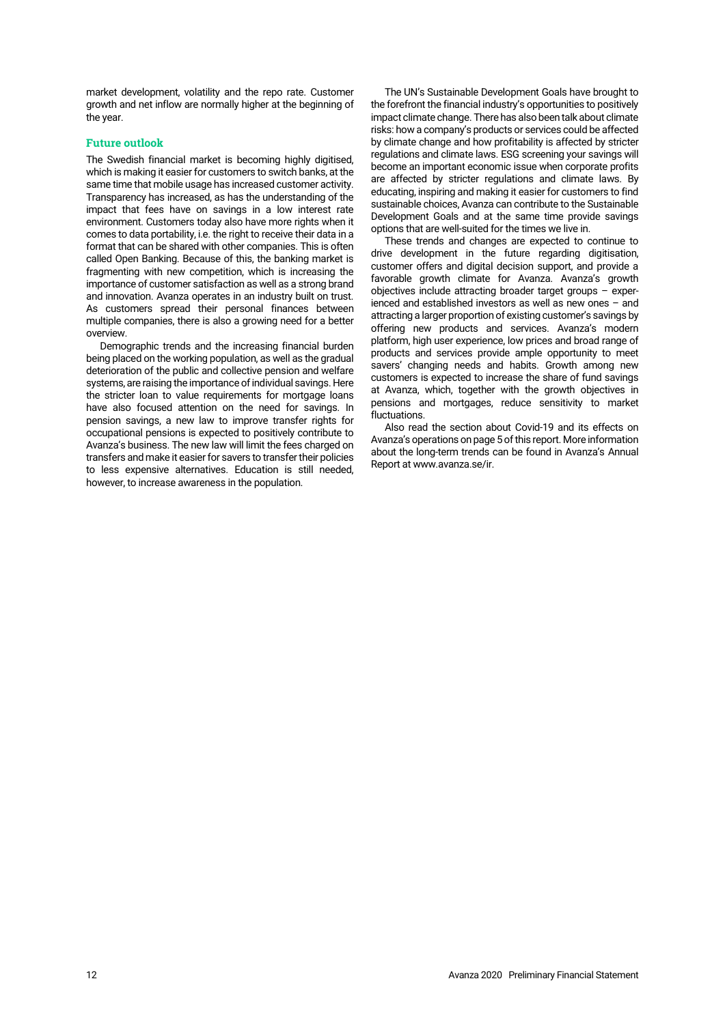market development, volatility and the repo rate. Customer growth and net inflow are normally higher at the beginning of the year.

# **Future outlook**

The Swedish financial market is becoming highly digitised, which is making it easier for customers to switch banks, at the same time that mobile usage has increased customer activity. Transparency has increased, as has the understanding of the impact that fees have on savings in a low interest rate environment. Customers today also have more rights when it comes to data portability, i.e. the right to receive their data in a format that can be shared with other companies. This is often called Open Banking. Because of this, the banking market is fragmenting with new competition, which is increasing the importance of customer satisfaction as well as a strong brand and innovation. Avanza operates in an industry built on trust. As customers spread their personal finances between multiple companies, there is also a growing need for a better overview.

Demographic trends and the increasing financial burden being placed on the working population, as well as the gradual deterioration of the public and collective pension and welfare systems, are raising the importance of individual savings. Here the stricter loan to value requirements for mortgage loans have also focused attention on the need for savings. In pension savings, a new law to improve transfer rights for occupational pensions is expected to positively contribute to Avanza's business. The new law will limit the fees charged on transfers and make it easier for savers to transfer their policies to less expensive alternatives. Education is still needed, however, to increase awareness in the population.

The UN's Sustainable Development Goals have brought to the forefront the financial industry's opportunities to positively impact climate change. There has also been talk about climate risks: how a company's products or services could be affected by climate change and how profitability is affected by stricter regulations and climate laws. ESG screening your savings will become an important economic issue when corporate profits are affected by stricter regulations and climate laws. By educating, inspiring and making it easier for customers to find sustainable choices, Avanza can contribute to the Sustainable Development Goals and at the same time provide savings options that are well-suited for the times we live in.

These trends and changes are expected to continue to drive development in the future regarding digitisation, customer offers and digital decision support, and provide a favorable growth climate for Avanza. Avanza's growth objectives include attracting broader target groups – experienced and established investors as well as new ones – and attracting a larger proportion of existing customer's savings by offering new products and services. Avanza's modern platform, high user experience, low prices and broad range of products and services provide ample opportunity to meet savers' changing needs and habits. Growth among new customers is expected to increase the share of fund savings at Avanza, which, together with the growth objectives in pensions and mortgages, reduce sensitivity to market fluctuations.

Also read the section about Covid-19 and its effects on Avanza's operations on page 5of this report. More information about the long-term trends can be found in Avanza's Annual Report at [www.avanza.se/ir.](https://www.avanza.se/ir)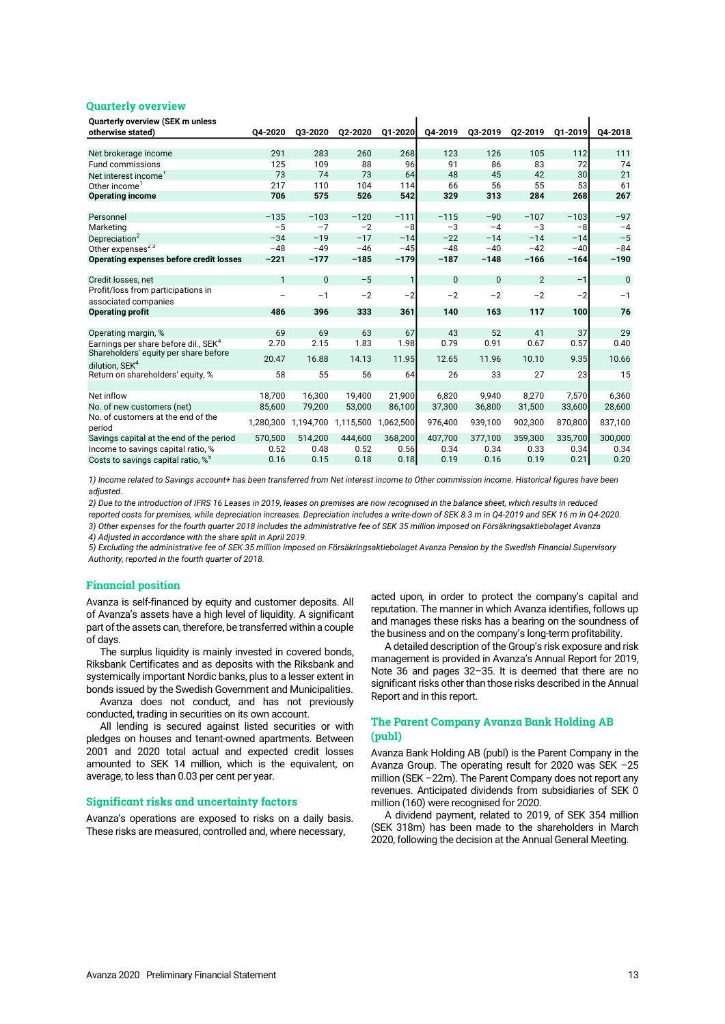### **Quarterly overview**

| <b>Quarterly overview (SEK m unless</b>        |              |           |           |           |              |              |                |         |         |
|------------------------------------------------|--------------|-----------|-----------|-----------|--------------|--------------|----------------|---------|---------|
| otherwise stated)                              | 04-2020      | Q3-2020   | Q2-2020   | Q1-2020   | Q4-2019      | Q3-2019      | Q2-2019        | Q1-2019 | 04-2018 |
|                                                |              |           |           |           |              |              |                |         |         |
| Net brokerage income                           | 291          | 283       | 260       | 268       | 123          | 126          | 105            | 112     | 111     |
| <b>Fund commissions</b>                        | 125          | 109       | 88        | 96        | 91           | 86           | 83             | 72      | 74      |
| Net interest income <sup>1</sup>               | 73           | 74        | 73        | 64        | 48           | 45           | 42             | 30      | 21      |
| Other income <sup>1</sup>                      | 217          | 110       | 104       | 114       | 66           | 56           | 55             | 53      | 61      |
| <b>Operating income</b>                        | 706          | 575       | 526       | 542       | 329          | 313          | 284            | 268     | 267     |
|                                                |              |           |           |           |              |              |                |         |         |
| Personnel                                      | $-135$       | $-103$    | $-120$    | $-111$    | $-115$       | $-90$        | $-107$         | $-103$  | $-97$   |
| Marketing                                      | $-5$         | $-7$      | $-2$      | $-8$      | $-3$         | $-4$         | $-3$           | $-8$    | $-4$    |
| Depreciation <sup>2</sup>                      | $-34$        | $-19$     | $-17$     | $-14$     | $-22$        | $-14$        | $-14$          | $-14$   | $-5$    |
| Other expenses <sup>23</sup>                   | $-48$        | $-49$     | $-46$     | $-45$     | $-48$        | $-40$        | $-42$          | $-40$   | $-84$   |
| Operating expenses before credit losses        | $-221$       | $-177$    | $-185$    | $-179$    | $-187$       | $-148$       | $-166$         | $-164$  | $-190$  |
|                                                |              |           |           |           |              |              |                |         |         |
| Credit losses, net                             | $\mathbf{1}$ | $\Omega$  | $-5$      | 1         | $\mathbf{0}$ | $\mathbf{0}$ | $\overline{2}$ | $-1$    | 0       |
| Profit/loss from participations in             |              | $-1$      | $-2$      | $-2$      | $-2$         | $-2$         | $-2$           | $-2$    | $-1$    |
| associated companies                           |              |           |           |           |              |              |                |         |         |
| <b>Operating profit</b>                        | 486          | 396       | 333       | 361       | 140          | 163          | 117            | 100     | 76      |
|                                                |              |           |           |           |              |              |                |         |         |
| Operating margin, %                            | 69           | 69        | 63        | 67        | 43           | 52           | 41             | 37      | 29      |
| Earnings per share before dil SEK <sup>4</sup> | 2.70         | 2.15      | 1.83      | 1.98      | 0.79         | 0.91         | 0.67           | 0.57    | 0.40    |
| Shareholders' equity per share before          | 20.47        | 16.88     | 14.13     | 11.95     | 12.65        | 11.96        | 10.10          | 9.35    | 10.66   |
| dilution. SEK <sup>4</sup>                     |              |           |           |           |              |              |                |         |         |
| Return on shareholders' equity, %              | 58           | 55        | 56        | 64        | 26           | 33           | 27             | 23      | 15      |
|                                                |              |           |           |           |              |              |                |         |         |
| Net inflow                                     | 18,700       | 16,300    | 19,400    | 21,900    | 6,820        | 9,940        | 8,270          | 7,570   | 6,360   |
| No. of new customers (net)                     | 85,600       | 79,200    | 53,000    | 86,100    | 37,300       | 36,800       | 31,500         | 33,600  | 28,600  |
| No. of customers at the end of the             | 1,280,300    | 1,194,700 | 1,115,500 | 1,062,500 | 976,400      | 939,100      | 902,300        | 870,800 | 837,100 |
| period                                         |              |           |           |           |              |              |                |         |         |
| Savings capital at the end of the period       | 570,500      | 514,200   | 444,600   | 368,200   | 407,700      | 377,100      | 359,300        | 335,700 | 300,000 |
| Income to savings capital ratio, %             | 0.52         | 0.48      | 0.52      | 0.56      | 0.34         | 0.34         | 0.33           | 0.34    | 0.34    |
| Costs to savings capital ratio. % <sup>5</sup> | 0.16         | 0.15      | 0.18      | 0.18      | 0.19         | 0.16         | 0.19           | 0.21    | 0.20    |

*1) Income related to Savings account+ has been transferred from Net interest income to Other commission income. Historical figures have been adjusted.*

*2) Due to the introduction of IFRS 16 Leases in 2019, leases on premises are now recognised in the balance sheet, which results in reduced reported costs for premises, while depreciation increases. Depreciation includes a write-down of SEK 8.3 m in Q4-2019 and SEK 16 m in Q4-2020. 4) Adjusted in accordance with the share split in April 2019. 3) Other expenses for the fourth quarter 2018 includes the administrative fee of SEK 35 million imposed on Försäkringsaktiebolaget Avanza* 

*5) Excluding the administrative fee of SEK 35 million imposed on Försäkringsaktiebolaget Avanza Pension by the Swedish Financial Supervisory Authority, reported in the fourth quarter of 2018.*

### **Financial position**

Avanza is self-financed by equity and customer deposits. All of Avanza's assets have a high level of liquidity. A significant part of the assets can, therefore, be transferred within a couple of days.

The surplus liquidity is mainly invested in covered bonds, Riksbank Certificates and as deposits with the Riksbank and systemically important Nordic banks, plus to a lesser extent in bonds issued by the Swedish Government and Municipalities.

Avanza does not conduct, and has not previously conducted, trading in securities on its own account.

All lending is secured against listed securities or with pledges on houses and tenant-owned apartments. Between 2001 and 2020 total actual and expected credit losses amounted to SEK 14 million, which is the equivalent, on average, to less than 0.03 per cent per year.

### **Significant risks and uncertainty factors**

Avanza's operations are exposed to risks on a daily basis. These risks are measured, controlled and, where necessary,

acted upon, in order to protect the company's capital and reputation. The manner in which Avanza identifies, follows up and manages these risks has a bearing on the soundness of the business and on the company's long-term profitability.

A detailed description of the Group's risk exposure and risk management is provided in Avanza's Annual Report for 2019, Note 36 and pages 32–35. It is deemed that there are no significant risks other than those risks described in the Annual Report and in this report.

# **The Parent Company Avanza Bank Holding AB (publ)**

Avanza Bank Holding AB (publ) is the Parent Company in the Avanza Group. The operating result for 2020 was SEK –25 million (SEK –22m). The Parent Company does not report any revenues. Anticipated dividends from subsidiaries of SEK 0 million (160) were recognised for 2020.

A dividend payment, related to 2019, of SEK 354 million (SEK 318m) has been made to the shareholders in March 2020, following the decision at the Annual General Meeting.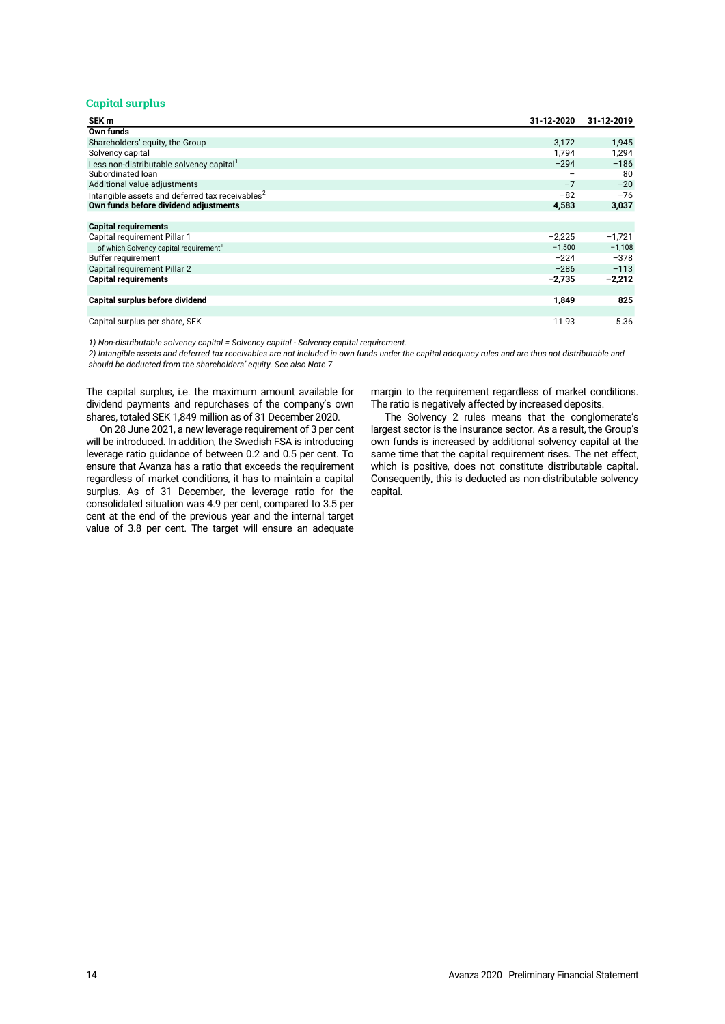# **Capital surplus**

| SEK m                                                       | 31-12-2020        | 31-12-2019 |
|-------------------------------------------------------------|-------------------|------------|
| Own funds                                                   |                   |            |
| Shareholders' equity, the Group                             | 3,172             | 1,945      |
| Solvency capital                                            | 1.794             | 1,294      |
| Less non-distributable solvency capital <sup>1</sup>        | $-294$            | $-186$     |
| Subordinated Ioan                                           | $\qquad \qquad -$ | 80         |
| Additional value adjustments                                | $-7$              | $-20$      |
| Intangible assets and deferred tax receivables <sup>2</sup> | $-82$             | $-76$      |
| Own funds before dividend adjustments                       | 4,583             | 3,037      |
|                                                             |                   |            |
| <b>Capital requirements</b>                                 |                   |            |
| Capital requirement Pillar 1                                | $-2,225$          | $-1,721$   |
| of which Solvency capital requirement <sup>1</sup>          | $-1,500$          | $-1,108$   |
| Buffer requirement                                          | $-224$            | $-378$     |
| Capital requirement Pillar 2                                | $-286$            | $-113$     |
| <b>Capital requirements</b>                                 | $-2,735$          | $-2,212$   |
|                                                             |                   |            |
| Capital surplus before dividend                             | 1,849             | 825        |
|                                                             |                   |            |
| Capital surplus per share, SEK                              | 11.93             | 5.36       |

*1) Non-distributable solvency capital = Solvency capital - Solvency capital requirement.*

*2) Intangible assets and deferred tax receivables are not included in own funds under the capital adequacy rules and are thus not distributable and should be deducted from the shareholders' equity. See also Note 7.*

The capital surplus, i.e. the maximum amount available for dividend payments and repurchases of the company's own shares, totaled SEK 1,849 million as of 31 December 2020.

On 28 June 2021, a new leverage requirement of 3 per cent will be introduced. In addition, the Swedish FSA is introducing leverage ratio guidance of between 0.2 and 0.5 per cent. To ensure that Avanza has a ratio that exceeds the requirement regardless of market conditions, it has to maintain a capital surplus. As of 31 December, the leverage ratio for the consolidated situation was 4.9 per cent, compared to 3.5 per cent at the end of the previous year and the internal target value of 3.8 per cent. The target will ensure an adequate

margin to the requirement regardless of market conditions. The ratio is negatively affected by increased deposits.

The Solvency 2 rules means that the conglomerate's largest sector is the insurance sector. As a result, the Group's own funds is increased by additional solvency capital at the same time that the capital requirement rises. The net effect, which is positive, does not constitute distributable capital. Consequently, this is deducted as non-distributable solvency capital.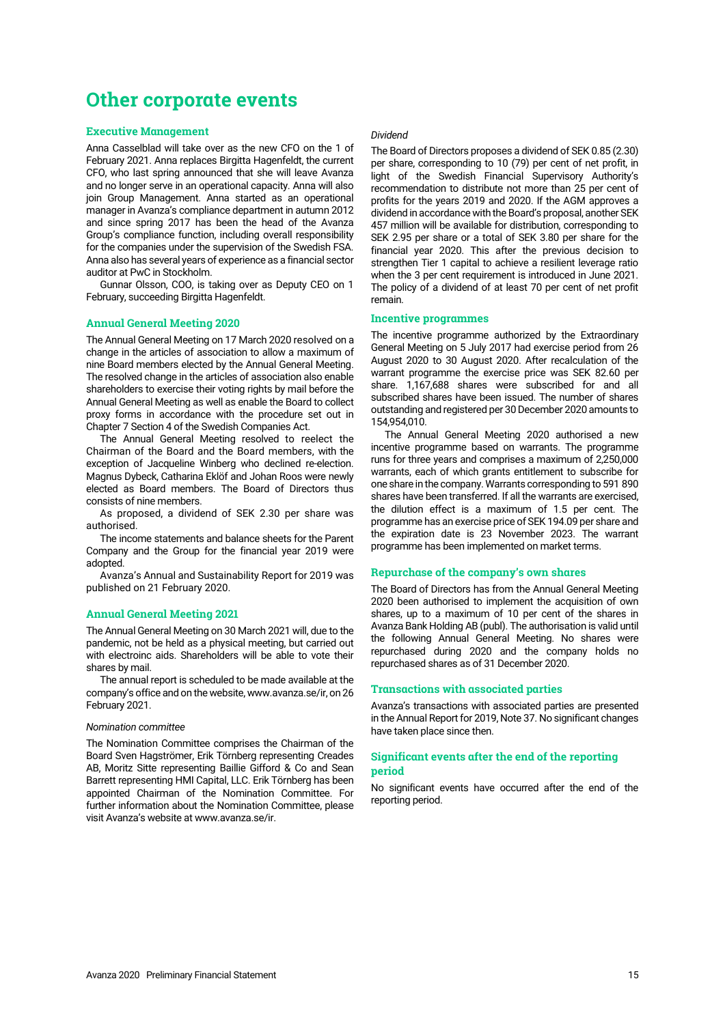# **Other corporate events**

### **Executive Management**

Anna Casselblad will take over as the new CFO on the 1 of February 2021. Anna replaces Birgitta Hagenfeldt, the current CFO, who last spring announced that she will leave Avanza and no longer serve in an operational capacity. Anna will also join Group Management. Anna started as an operational manager in Avanza's compliance department in autumn 2012 and since spring 2017 has been the head of the Avanza Group's compliance function, including overall responsibility for the companies under the supervision of the Swedish FSA. Anna also has several years of experience as a financial sector auditor at PwC in Stockholm.

Gunnar Olsson, COO, is taking over as Deputy CEO on 1 February, succeeding Birgitta Hagenfeldt.

### **Annual General Meeting 2020**

The Annual General Meeting on 17 March 2020 resolved on a change in the articles of association to allow a maximum of nine Board members elected by the Annual General Meeting. The resolved change in the articles of association also enable shareholders to exercise their voting rights by mail before the Annual General Meeting as well as enable the Board to collect proxy forms in accordance with the procedure set out in Chapter 7 Section 4 of the Swedish Companies Act.

The Annual General Meeting resolved to reelect the Chairman of the Board and the Board members, with the exception of Jacqueline Winberg who declined re-election. Magnus Dybeck, Catharina Eklöf and Johan Roos were newly elected as Board members. The Board of Directors thus consists of nine members.

As proposed, a dividend of SEK 2.30 per share was authorised.

The income statements and balance sheets for the Parent Company and the Group for the financial year 2019 were adopted.

Avanza's Annual and Sustainability Report for 2019 was published on 21 February 2020.

### **Annual General Meeting 2021**

The Annual General Meeting on 30 March 2021 will, due to the pandemic, not be held as a physical meeting, but carried out with electroinc aids. Shareholders will be able to vote their shares by mail.

The annual report is scheduled to be made available at the company's office and on the website, www.avanza.se/ir, on 26 February 2021.

### *Nomination committee*

The Nomination Committee comprises the Chairman of the Board Sven Hagströmer, Erik Törnberg representing Creades AB, Moritz Sitte representing Baillie Gifford & Co and Sean Barrett representing HMI Capital, LLC. Erik Törnberg has been appointed Chairman of the Nomination Committee. For further information about the Nomination Committee, please visit Avanza's website at www.avanza.se/ir.

### *Dividend*

The Board of Directors proposes a dividend of SEK 0.85 (2.30) per share, corresponding to 10 (79) per cent of net profit, in light of the Swedish Financial Supervisory Authority's recommendation to distribute not more than 25 per cent of profits for the years 2019 and 2020. If the AGM approves a dividend in accordance with the Board's proposal, another SEK 457 million will be available for distribution, corresponding to SEK 2.95 per share or a total of SEK 3.80 per share for the financial year 2020. This after the previous decision to strengthen Tier 1 capital to achieve a resilient leverage ratio when the 3 per cent requirement is introduced in June 2021. The policy of a dividend of at least 70 per cent of net profit remain.

### **Incentive programmes**

The incentive programme authorized by the Extraordinary General Meeting on 5 July 2017 had exercise period from 26 August 2020 to 30 August 2020. After recalculation of the warrant programme the exercise price was SEK 82.60 per share. 1,167,688 shares were subscribed for and all subscribed shares have been issued. The number of shares outstanding and registered per 30 December 2020 amounts to 154,954,010.

The Annual General Meeting 2020 authorised a new incentive programme based on warrants. The programme runs for three years and comprises a maximum of 2,250,000 warrants, each of which grants entitlement to subscribe for one share in the company. Warrants corresponding to 591 890 shares have been transferred. If all the warrants are exercised, the dilution effect is a maximum of 1.5 per cent. The programme has an exercise price of SEK 194.09 per share and the expiration date is 23 November 2023. The warrant programme has been implemented on market terms.

### **Repurchase of the company's own shares**

The Board of Directors has from the Annual General Meeting 2020 been authorised to implement the acquisition of own shares, up to a maximum of 10 per cent of the shares in Avanza Bank Holding AB (publ). The authorisation is valid until the following Annual General Meeting. No shares were repurchased during 2020 and the company holds no repurchased shares as of 31 December 2020.

### **Transactions with associated parties**

Avanza's transactions with associated parties are presented in the Annual Report for 2019, Note 37. No significant changes have taken place since then.

# **Significant events after the end of the reporting period**

No significant events have occurred after the end of the reporting period.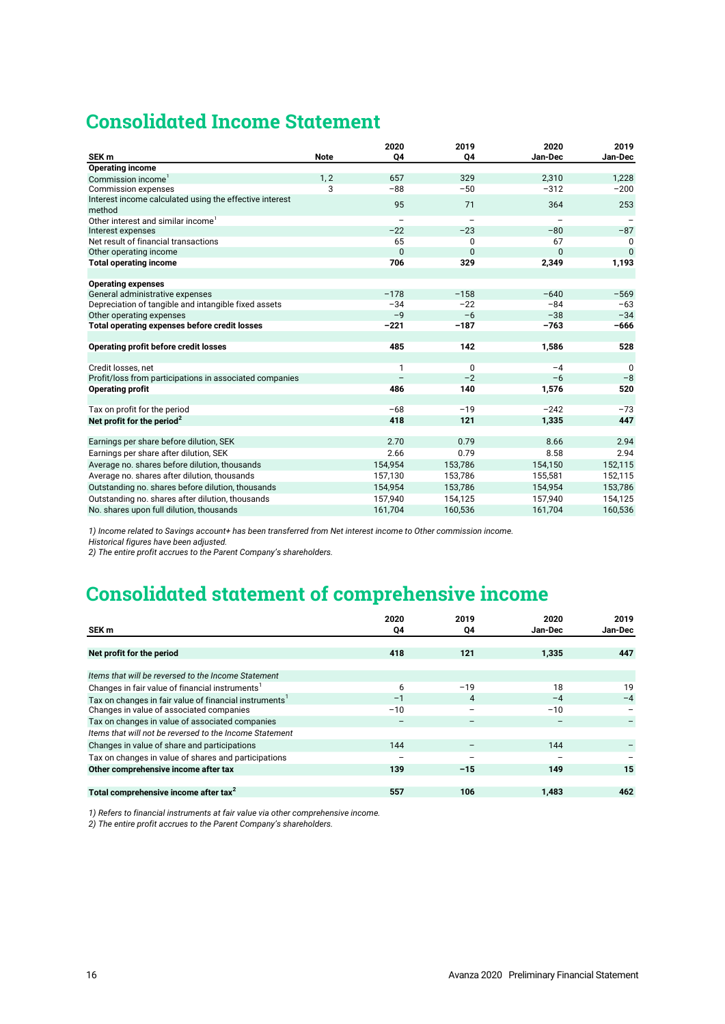# **Consolidated Income Statement**

| SEK <sub>m</sub>                                        | <b>Note</b> | 2020<br>04               | 2019<br>Q4               | 2020<br>Jan-Dec          | 2019<br>Jan-Dec |
|---------------------------------------------------------|-------------|--------------------------|--------------------------|--------------------------|-----------------|
| <b>Operating income</b>                                 |             |                          |                          |                          |                 |
| Commission income <sup>1</sup>                          | 1, 2        | 657                      | 329                      | 2,310                    | 1.228           |
| <b>Commission expenses</b>                              | 3           | $-88$                    | $-50$                    | $-312$                   | $-200$          |
| Interest income calculated using the effective interest |             |                          |                          |                          |                 |
| method                                                  |             | 95                       | 71                       | 364                      | 253             |
| Other interest and similar income <sup>1</sup>          |             | $\overline{\phantom{0}}$ | $\overline{\phantom{0}}$ | $\overline{\phantom{m}}$ |                 |
| Interest expenses                                       |             | $-22$                    | $-23$                    | $-80$                    | $-87$           |
| Net result of financial transactions                    |             | 65                       | 0                        | 67                       | 0               |
| Other operating income                                  |             | $\mathbf{0}$             | $\mathbf{0}$             | $\Omega$                 | $\mathbf{0}$    |
| <b>Total operating income</b>                           |             | 706                      | 329                      | 2,349                    | 1,193           |
|                                                         |             |                          |                          |                          |                 |
| <b>Operating expenses</b>                               |             |                          |                          |                          |                 |
| General administrative expenses                         |             | $-178$                   | $-158$                   | $-640$                   | $-569$          |
| Depreciation of tangible and intangible fixed assets    |             | $-34$                    | $-22$                    | $-84$                    | $-63$           |
| Other operating expenses                                |             | $-9$                     | $-6$                     | $-38$                    | $-34$           |
| Total operating expenses before credit losses           |             | $-221$                   | $-187$                   | $-763$                   | $-666$          |
|                                                         |             |                          |                          |                          |                 |
| <b>Operating profit before credit losses</b>            |             | 485                      | 142                      | 1,586                    | 528             |
|                                                         |             |                          |                          |                          |                 |
| Credit losses, net                                      |             | $\mathbf{1}$             | $\pmb{0}$                | $-4$                     | $\Omega$        |
| Profit/loss from participations in associated companies |             |                          | $-2$                     | $-6$                     | $-8$            |
| <b>Operating profit</b>                                 |             | 486                      | 140                      | 1,576                    | 520             |
| Tax on profit for the period                            |             | $-68$                    | $-19$                    | $-242$                   | $-73$           |
| Net profit for the period <sup>2</sup>                  |             | 418                      | 121                      | 1,335                    | 447             |
|                                                         |             |                          |                          |                          |                 |
| Earnings per share before dilution, SEK                 |             | 2.70                     | 0.79                     | 8.66                     | 2.94            |
| Earnings per share after dilution, SEK                  |             | 2.66                     | 0.79                     | 8.58                     | 2.94            |
| Average no. shares before dilution, thousands           |             | 154,954                  | 153,786                  | 154,150                  | 152,115         |
| Average no. shares after dilution, thousands            |             | 157,130                  | 153,786                  | 155,581                  | 152,115         |
| Outstanding no. shares before dilution, thousands       |             | 154,954                  | 153,786                  | 154,954                  | 153,786         |
|                                                         |             | 157,940                  |                          |                          | 154,125         |
| Outstanding no. shares after dilution, thousands        |             |                          | 154,125                  | 157,940                  |                 |
| No. shares upon full dilution, thousands                |             | 161,704                  | 160,536                  | 161,704                  | 160,536         |

*1) Income related to Savings account+ has been transferred from Net interest income to Other commission income.* 

*Historical figures have been adjusted.*

# *2) The entire profit accrues to the Parent Company's shareholders.*

# **Consolidated statement of comprehensive income**

|                                                                    | 2020  | 2019                     | 2020                     | 2019    |
|--------------------------------------------------------------------|-------|--------------------------|--------------------------|---------|
| SEK <sub>m</sub>                                                   | Q4    | Q4                       | Jan-Dec                  | Jan-Dec |
|                                                                    |       |                          |                          |         |
| Net profit for the period                                          | 418   | 121                      | 1,335                    | 447     |
| Items that will be reversed to the Income Statement                |       |                          |                          |         |
| Changes in fair value of financial instruments <sup>1</sup>        | 6     | $-19$                    | 18                       | 19      |
| Tax on changes in fair value of financial instruments <sup>1</sup> | $-1$  | $\overline{4}$           | $-4$                     | $-4$    |
| Changes in value of associated companies                           | $-10$ | $\overline{\phantom{0}}$ | $-10$                    |         |
| Tax on changes in value of associated companies                    |       |                          |                          |         |
| Items that will not be reversed to the Income Statement            |       |                          |                          |         |
| Changes in value of share and participations                       | 144   |                          | 144                      |         |
| Tax on changes in value of shares and participations               |       | $\overline{\phantom{m}}$ | $\overline{\phantom{m}}$ |         |
| Other comprehensive income after tax                               | 139   | $-15$                    | 149                      | 15      |
|                                                                    |       |                          |                          |         |
| Total comprehensive income after tax <sup>2</sup>                  | 557   | 106                      | 1.483                    | 462     |

*1) Refers to financial instruments at fair value via other comprehensive income.*

*2) The entire profit accrues to the Parent Company's shareholders.*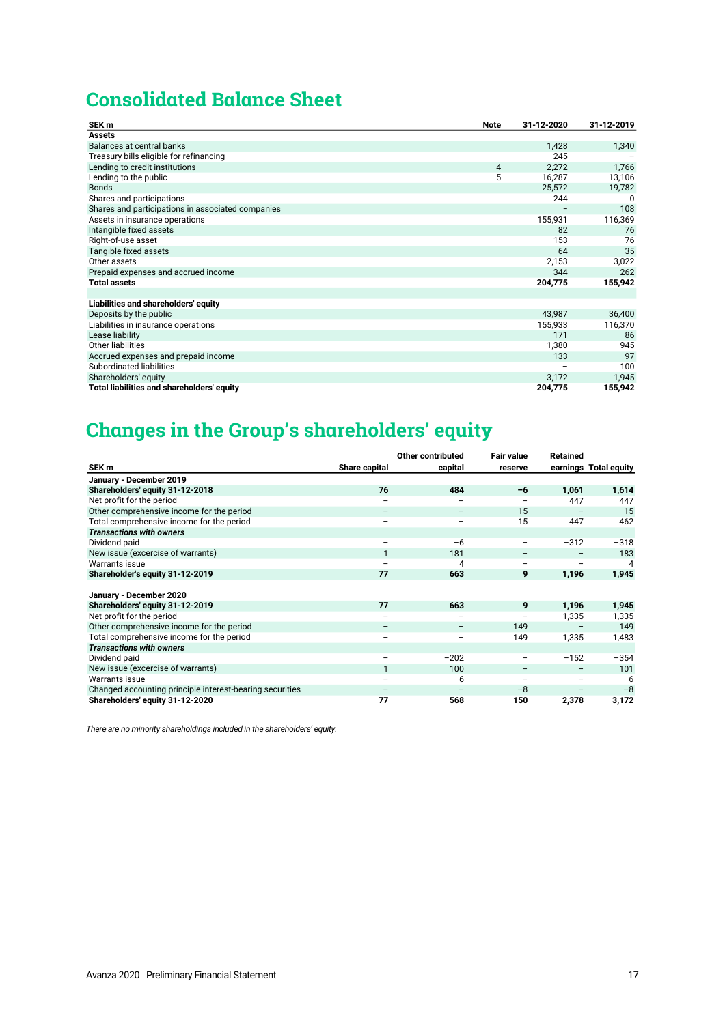# **Consolidated Balance Sheet**

| SEK <sub>m</sub>                                  | <b>Note</b> | 31-12-2020 | 31-12-2019 |
|---------------------------------------------------|-------------|------------|------------|
| <b>Assets</b>                                     |             |            |            |
| Balances at central banks                         |             | 1,428      | 1,340      |
| Treasury bills eligible for refinancing           |             | 245        |            |
| Lending to credit institutions                    | 4           | 2,272      | 1,766      |
| Lending to the public                             | 5           | 16,287     | 13,106     |
| <b>Bonds</b>                                      |             | 25,572     | 19,782     |
| Shares and participations                         |             | 244        | 0          |
| Shares and participations in associated companies |             |            | 108        |
| Assets in insurance operations                    |             | 155,931    | 116,369    |
| Intangible fixed assets                           |             | 82         | 76         |
| Right-of-use asset                                |             | 153        | 76         |
| Tangible fixed assets                             |             | 64         | 35         |
| Other assets                                      |             | 2,153      | 3,022      |
| Prepaid expenses and accrued income               |             | 344        | 262        |
| <b>Total assets</b>                               |             | 204,775    | 155,942    |
|                                                   |             |            |            |
| Liabilities and shareholders' equity              |             |            |            |
| Deposits by the public                            |             | 43,987     | 36,400     |
| Liabilities in insurance operations               |             | 155,933    | 116,370    |
| Lease liability                                   |             | 171        | 86         |
| <b>Other liabilities</b>                          |             | 1,380      | 945        |
| Accrued expenses and prepaid income               |             | 133        | 97         |
| Subordinated liabilities                          |             |            | 100        |
| Shareholders' equity                              |             | 3,172      | 1,945      |
| Total liabilities and shareholders' equity        |             | 204,775    | 155,942    |

# **Changes in the Group's shareholders' equity**

|                                                          |               | <b>Other contributed</b> | <b>Fair value</b>        | <b>Retained</b> |                       |
|----------------------------------------------------------|---------------|--------------------------|--------------------------|-----------------|-----------------------|
| SEK m                                                    | Share capital | capital                  | reserve                  |                 | earnings Total equity |
| January - December 2019                                  |               |                          |                          |                 |                       |
| Shareholders' equity 31-12-2018                          | 76            | 484                      | -6                       | 1,061           | 1,614                 |
| Net profit for the period                                |               |                          |                          | 447             | 447                   |
| Other comprehensive income for the period                |               |                          | 15                       |                 | 15                    |
| Total comprehensive income for the period                |               |                          | 15                       | 447             | 462                   |
| <b>Transactions with owners</b>                          |               |                          |                          |                 |                       |
| Dividend paid                                            |               | $-6$                     |                          | $-312$          | $-318$                |
| New issue (excercise of warrants)                        | $\mathbf{1}$  | 181                      |                          |                 | 183                   |
| <b>Warrants issue</b>                                    |               | 4                        |                          |                 | 4                     |
| Shareholder's equity 31-12-2019                          | 77            | 663                      | 9                        | 1,196           | 1,945                 |
|                                                          |               |                          |                          |                 |                       |
| January - December 2020                                  |               |                          |                          |                 |                       |
| Shareholders' equity 31-12-2019                          | 77            | 663                      | 9                        | 1,196           | 1,945                 |
| Net profit for the period                                |               |                          |                          | 1,335           | 1,335                 |
| Other comprehensive income for the period                |               |                          | 149                      |                 | 149                   |
| Total comprehensive income for the period                |               |                          | 149                      | 1,335           | 1,483                 |
| <b>Transactions with owners</b>                          |               |                          |                          |                 |                       |
| Dividend paid                                            |               | $-202$                   |                          | $-152$          | $-354$                |
| New issue (excercise of warrants)                        | $\mathbf{1}$  | 100                      | $\overline{\phantom{m}}$ |                 | 101                   |
| <b>Warrants issue</b>                                    |               | 6                        |                          |                 | 6                     |
| Changed accounting principle interest-bearing securities |               |                          | $-8$                     |                 | $-8$                  |
| Shareholders' equity 31-12-2020                          | 77            | 568                      | 150                      | 2,378           | 3,172                 |

*There are no minority shareholdings included in the shareholders' equity.*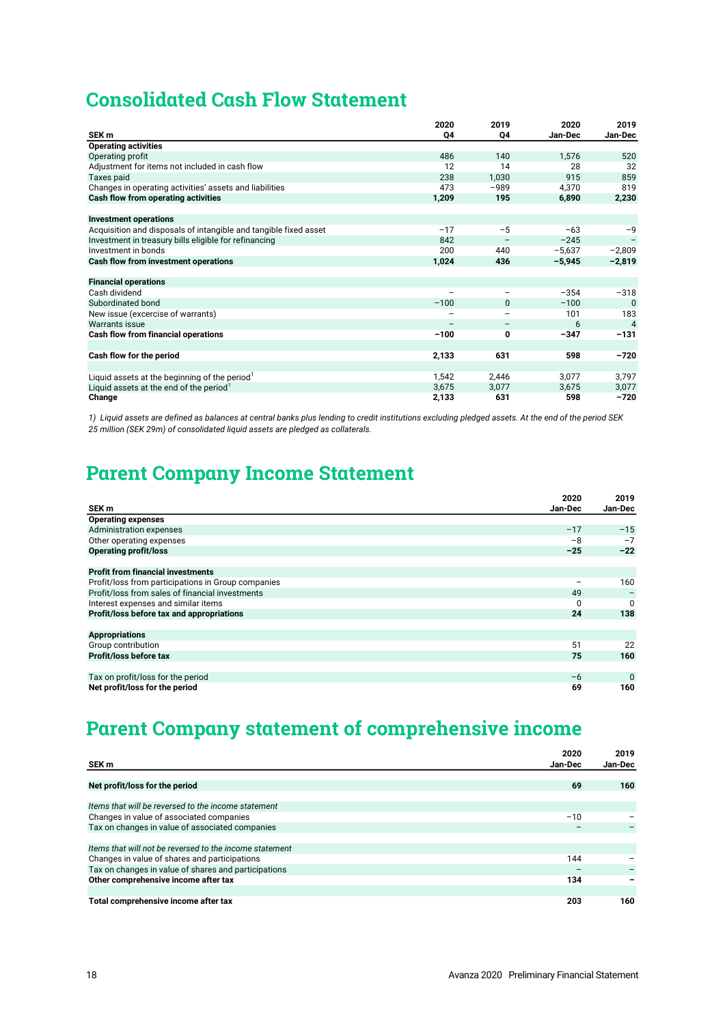# **Consolidated Cash Flow Statement**

|                                                                  | 2020   | 2019     | 2020     | 2019           |
|------------------------------------------------------------------|--------|----------|----------|----------------|
| SEK <sub>m</sub>                                                 | Q4     | Q4       | Jan-Dec  | Jan-Dec        |
| <b>Operating activities</b>                                      |        |          |          |                |
| Operating profit                                                 | 486    | 140      | 1,576    | 520            |
| Adjustment for items not included in cash flow                   | 12     | 14       | 28       | 32             |
| Taxes paid                                                       | 238    | 1,030    | 915      | 859            |
| Changes in operating activities' assets and liabilities          | 473    | $-989$   | 4,370    | 819            |
| Cash flow from operating activities                              | 1,209  | 195      | 6,890    | 2,230          |
|                                                                  |        |          |          |                |
| <b>Investment operations</b>                                     |        |          |          |                |
| Acquisition and disposals of intangible and tangible fixed asset | $-17$  | $-5$     | $-63$    | $-9$           |
| Investment in treasury bills eligible for refinancing            | 842    |          | $-245$   |                |
| Investment in bonds                                              | 200    | 440      | $-5,637$ | $-2,809$       |
| Cash flow from investment operations                             | 1,024  | 436      | $-5,945$ | $-2,819$       |
|                                                                  |        |          |          |                |
| <b>Financial operations</b>                                      |        |          |          |                |
| Cash dividend                                                    |        |          | $-354$   | $-318$         |
| Subordinated bond                                                | $-100$ | $\Omega$ | $-100$   | $\Omega$       |
| New issue (excercise of warrants)                                |        |          | 101      | 183            |
| Warrants issue                                                   |        |          | 6        | $\overline{4}$ |
| Cash flow from financial operations                              | $-100$ | 0        | $-347$   | $-131$         |
|                                                                  |        |          |          |                |
| Cash flow for the period                                         | 2,133  | 631      | 598      | $-720$         |
|                                                                  |        |          |          |                |
| Liquid assets at the beginning of the period                     | 1,542  | 2,446    | 3,077    | 3,797          |
| Liquid assets at the end of the period                           | 3,675  | 3.077    | 3,675    | 3,077          |
| Change                                                           | 2,133  | 631      | 598      | $-720$         |

*1) Liquid assets are defined as balances at central banks plus lending to credit institutions excluding pledged assets. At the end of the period SEK 25 million (SEK 29m) of consolidated liquid assets are pledged as collaterals.*

# **Parent Company Income Statement**

|                                                    | 2020     | 2019        |
|----------------------------------------------------|----------|-------------|
| SEK <sub>m</sub>                                   | Jan-Dec  | Jan-Dec     |
| <b>Operating expenses</b>                          |          |             |
| <b>Administration expenses</b>                     | $-17$    | $-15$       |
| Other operating expenses                           | $-8$     | $-7$        |
| <b>Operating profit/loss</b>                       | $-25$    | $-22$       |
|                                                    |          |             |
| <b>Profit from financial investments</b>           |          |             |
| Profit/loss from participations in Group companies |          | 160         |
| Profit/loss from sales of financial investments    | 49       |             |
| Interest expenses and similar items                | $\Omega$ | $\Omega$    |
| Profit/loss before tax and appropriations          | 24       | 138         |
|                                                    |          |             |
| <b>Appropriations</b>                              |          |             |
| Group contribution                                 | 51       | 22          |
| Profit/loss before tax                             | 75       | 160         |
|                                                    |          |             |
| Tax on profit/loss for the period                  | $-6$     | $\mathbf 0$ |
| Net profit/loss for the period                     | 69       | 160         |

# **Parent Company statement of comprehensive income**

|                                                         | 2020    | 2019    |
|---------------------------------------------------------|---------|---------|
| SEK m                                                   | Jan-Dec | Jan-Dec |
|                                                         |         |         |
| Net profit/loss for the period                          | 69      | 160     |
|                                                         |         |         |
| Items that will be reversed to the income statement     |         |         |
| Changes in value of associated companies                | $-10$   |         |
| Tax on changes in value of associated companies         |         |         |
|                                                         |         |         |
| Items that will not be reversed to the income statement |         |         |
| Changes in value of shares and participations           | 144     |         |
| Tax on changes in value of shares and participations    |         |         |
| Other comprehensive income after tax                    | 134     |         |
|                                                         |         |         |
| Total comprehensive income after tax                    | 203     | 160     |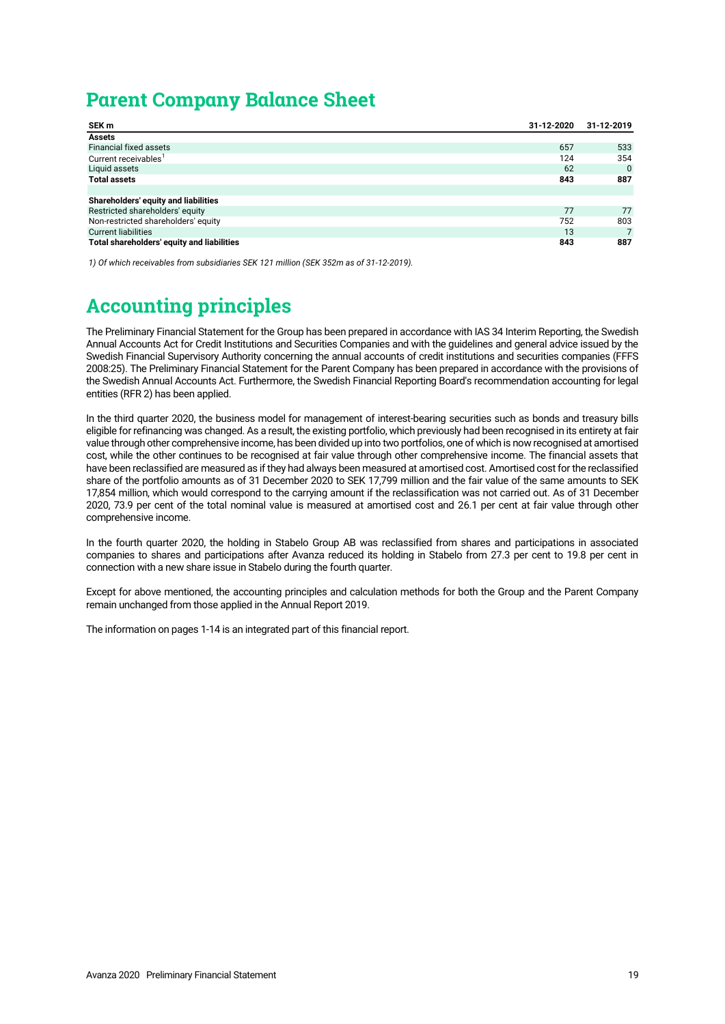# **Parent Company Balance Sheet**

| SEK m                                      | 31-12-2020 | 31-12-2019 |
|--------------------------------------------|------------|------------|
| <b>Assets</b>                              |            |            |
| <b>Financial fixed assets</b>              | 657        | 533        |
| Current receivables <sup>1</sup>           | 124        | 354        |
| Liquid assets                              | 62         | $\Omega$   |
| <b>Total assets</b>                        | 843        | 887        |
|                                            |            |            |
| Shareholders' equity and liabilities       |            |            |
| Restricted shareholders' equity            | 77         | 77         |
| Non-restricted shareholders' equity        | 752        | 803        |
| <b>Current liabilities</b>                 | 13         |            |
| Total shareholders' equity and liabilities | 843        | 887        |

*1) Of which receivables from subsidiaries SEK 121 million (SEK 352m as of 31-12-2019).*

# **Accounting principles**

The Preliminary Financial Statement for the Group has been prepared in accordance with IAS 34 Interim Reporting, the Swedish Annual Accounts Act for Credit Institutions and Securities Companies and with the guidelines and general advice issued by the Swedish Financial Supervisory Authority concerning the annual accounts of credit institutions and securities companies (FFFS 2008:25). The Preliminary Financial Statement for the Parent Company has been prepared in accordance with the provisions of the Swedish Annual Accounts Act. Furthermore, the Swedish Financial Reporting Board's recommendation accounting for legal entities (RFR 2) has been applied.

In the third quarter 2020, the business model for management of interest-bearing securities such as bonds and treasury bills eligible for refinancing was changed. As a result, the existing portfolio, which previously had been recognised in its entirety at fair value through other comprehensive income, has been divided up into two portfolios, one of which is now recognised at amortised cost, while the other continues to be recognised at fair value through other comprehensive income. The financial assets that have been reclassified are measured as if they had always been measured at amortised cost. Amortised cost for the reclassified share of the portfolio amounts as of 31 December 2020 to SEK 17,799 million and the fair value of the same amounts to SEK 17,854 million, which would correspond to the carrying amount if the reclassification was not carried out. As of 31 December 2020, 73.9 per cent of the total nominal value is measured at amortised cost and 26.1 per cent at fair value through other comprehensive income.

In the fourth quarter 2020, the holding in Stabelo Group AB was reclassified from shares and participations in associated companies to shares and participations after Avanza reduced its holding in Stabelo from 27.3 per cent to 19.8 per cent in connection with a new share issue in Stabelo during the fourth quarter.

Except for above mentioned, the accounting principles and calculation methods for both the Group and the Parent Company remain unchanged from those applied in the Annual Report 2019.

The information on pages 1-14 is an integrated part of this financial report.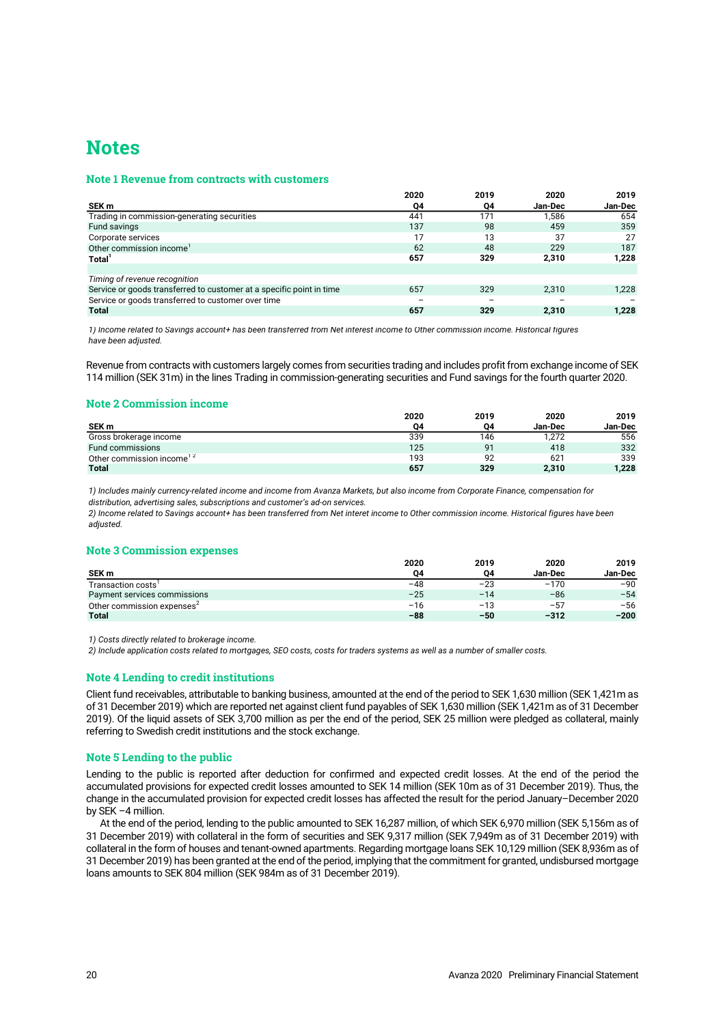# **Notes**

# **Note 1 Revenue from contracts with customers**

|                                                                      | 2020 | 2019 | 2020           | 2019    |
|----------------------------------------------------------------------|------|------|----------------|---------|
| SEK m                                                                | Q4   | Q4   | <b>Jan-Dec</b> | Jan-Dec |
| Trading in commission-generating securities                          | 441  | 171  | 1.586          | 654     |
| Fund savings                                                         | 137  | 98   | 459            | 359     |
| Corporate services                                                   | 17   | 13   | 37             | 27      |
| Other commission income <sup>1</sup>                                 | 62   | 48   | 229            | 187     |
| Total <sup>1</sup>                                                   | 657  | 329  | 2,310          | 1,228   |
|                                                                      |      |      |                |         |
| Timing of revenue recognition                                        |      |      |                |         |
| Service or goods transferred to customer at a specific point in time | 657  | 329  | 2.310          | 1,228   |
| Service or goods transferred to customer over time                   |      |      |                |         |
| <b>Total</b>                                                         | 657  | 329  | 2.310          | 1.228   |

*1) Income related to Savings account+ has been transferred from Net interest income to Other commission income. Historical figures have been adjusted.*

Revenue from contracts with customers largely comes from securities trading and includes profit from exchange income of SEK 114 million (SEK 31m) in the lines Trading in commission-generating securities and Fund savings for the fourth quarter 2020.

# **Note 2 Commission income**

|                                       | 2020 | 2019 | 2020    | 2019           |
|---------------------------------------|------|------|---------|----------------|
| SEK m                                 | 04   | 04   | Jan-Dec | <b>Jan-Dec</b> |
| Gross brokerage income                | 339  | 146  | 1.272   | 556            |
| <b>Fund commissions</b>               | 125  | 91   | 418     | 332            |
| Other commission income <sup>12</sup> | 193  | 92   | 621     | 339            |
| <b>Total</b>                          | 657  | 329  | 2,310   | 1,228          |

*1) Includes mainly currency-related income and income from Avanza Markets, but also income from Corporate Finance, compensation for distribution, advertising sales, subscriptions and customer's ad-on services.*

*2) Income related to Savings account+ has been transferred from Net interet income to Other commission income. Historical figures have been adjusted.*

# **Note 3 Commission expenses**

|                                        | 2020  | 2019  | 2020    | 2019    |
|----------------------------------------|-------|-------|---------|---------|
| SEK <sub>m</sub>                       | 04    | 04    | Jan-Dec | Jan-Dec |
| Transaction costs'                     | $-48$ | $-23$ | $-170$  | $-90$   |
| Payment services commissions           | $-25$ | $-14$ | $-86$   | $-54$   |
| Other commission expenses <sup>2</sup> | $-16$ | $-13$ | $-57$   | $-56$   |
| <b>Total</b>                           | $-88$ | $-50$ | $-312$  | $-200$  |

*1) Costs directly related to brokerage income.*

*2) Include application costs related to mortgages, SEO costs, costs for traders systems as well as a number of smaller costs.*

# **Note 4 Lending to credit institutions**

Client fund receivables, attributable to banking business, amounted at the end of the period to SEK 1,630 million (SEK 1,421m as of 31 December 2019) which are reported net against client fund payables of SEK 1,630 million (SEK 1,421m as of 31 December 2019). Of the liquid assets of SEK 3,700 million as per the end of the period, SEK 25 million were pledged as collateral, mainly referring to Swedish credit institutions and the stock exchange.

# **Note 5 Lending to the public**

Lending to the public is reported after deduction for confirmed and expected credit losses. At the end of the period the accumulated provisions for expected credit losses amounted to SEK 14 million (SEK 10m as of 31 December 2019). Thus, the change in the accumulated provision for expected credit losses has affected the result for the period January–December 2020 by SEK –4 million.

At the end of the period, lending to the public amounted to SEK 16,287 million, of which SEK 6,970 million (SEK 5,156m as of 31 December 2019) with collateral in the form of securities and SEK 9,317 million (SEK 7,949m as of 31 December 2019) with collateral in the form of houses and tenant-owned apartments. Regarding mortgage loans SEK 10,129 million (SEK 8,936m as of 31 December 2019) has been granted at the end of the period, implying that the commitment for granted, undisbursed mortgage loans amounts to SEK 804 million (SEK 984m as of 31 December 2019).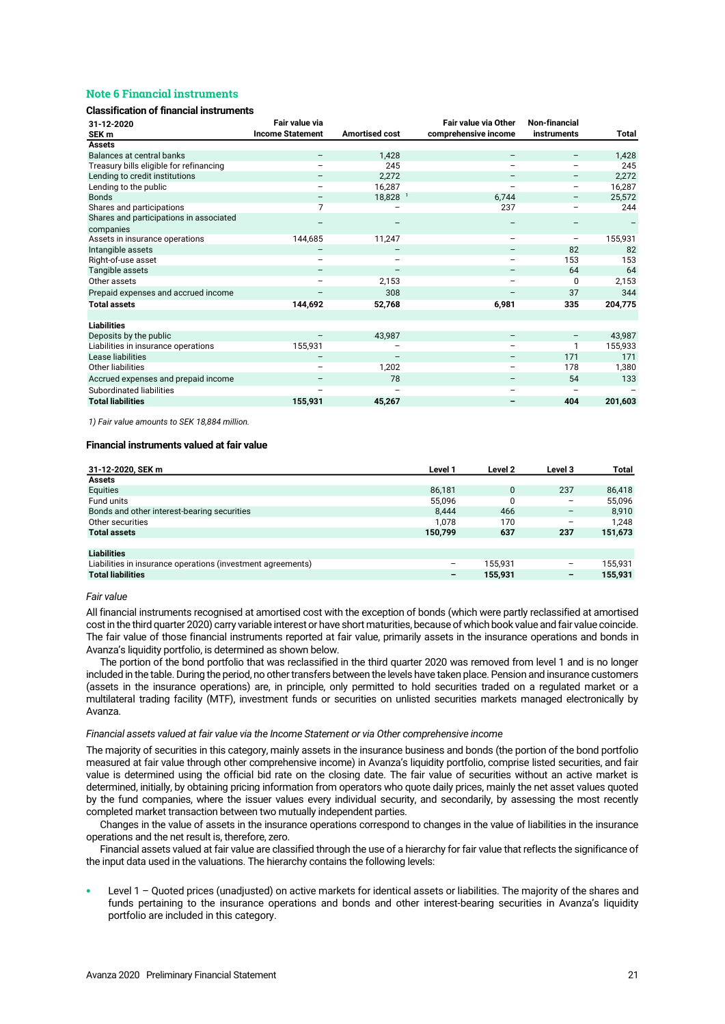# **Note 6 Financial instruments**

### **Classification of financial instruments**

| 31-12-2020                                           | Fair value via           |                       | <b>Fair value via Other</b> | <b>Non-financial</b>     |         |
|------------------------------------------------------|--------------------------|-----------------------|-----------------------------|--------------------------|---------|
| SEK <sub>m</sub>                                     | <b>Income Statement</b>  | <b>Amortised cost</b> | comprehensive income        | instruments              | Total   |
| <b>Assets</b>                                        |                          |                       |                             |                          |         |
| Balances at central banks                            | $\overline{\phantom{m}}$ | 1,428                 | $\qquad \qquad -$           | -                        | 1,428   |
| Treasury bills eligible for refinancing              |                          | 245                   |                             |                          | 245     |
| Lending to credit institutions                       |                          | 2,272                 |                             | -                        | 2,272   |
| Lending to the public                                | $\overline{\phantom{m}}$ | 16,287                | $\qquad \qquad -$           | -                        | 16,287  |
| <b>Bonds</b>                                         |                          | 18,828 <sup>1</sup>   | 6,744                       | -                        | 25,572  |
| Shares and participations                            | 7                        |                       | 237                         |                          | 244     |
| Shares and participations in associated<br>companies |                          |                       |                             |                          |         |
| Assets in insurance operations                       | 144,685                  | 11,247                | $\qquad \qquad -$           | -                        | 155,931 |
| Intangible assets                                    |                          |                       | $\overline{\phantom{m}}$    | 82                       | 82      |
| Right-of-use asset                                   | $\overline{\phantom{0}}$ |                       | $\overline{\phantom{0}}$    | 153                      | 153     |
| Tangible assets                                      | $\qquad \qquad -$        |                       | $\qquad \qquad -$           | 64                       | 64      |
| Other assets                                         |                          | 2,153                 |                             | 0                        | 2,153   |
| Prepaid expenses and accrued income                  |                          | 308                   |                             | 37                       | 344     |
| <b>Total assets</b>                                  | 144,692                  | 52,768                | 6,981                       | 335                      | 204,775 |
|                                                      |                          |                       |                             |                          |         |
| <b>Liabilities</b>                                   |                          |                       |                             |                          |         |
| Deposits by the public                               |                          | 43,987                | $\qquad \qquad -$           | $\overline{\phantom{m}}$ | 43,987  |
| Liabilities in insurance operations                  | 155,931                  |                       | $\overline{\phantom{0}}$    | 1                        | 155,933 |
| Lease liabilities                                    | $\qquad \qquad -$        |                       | $\qquad \qquad -$           | 171                      | 171     |
| Other liabilities                                    |                          | 1,202                 | $\overline{\phantom{m}}$    | 178                      | 1,380   |
| Accrued expenses and prepaid income                  |                          | 78                    | $\overline{\phantom{m}}$    | 54                       | 133     |
| Subordinated liabilities                             |                          |                       | $\overline{\phantom{0}}$    |                          |         |
| <b>Total liabilities</b>                             | 155,931                  | 45,267                |                             | 404                      | 201,603 |

*1) Fair value amounts to SEK 18,884 million.*

# **Financial instruments valued at fair value**

| 31-12-2020, SEK m                                           | Level 1         | Level 2      | Level 3                  | <b>Total</b> |
|-------------------------------------------------------------|-----------------|--------------|--------------------------|--------------|
| <b>Assets</b>                                               |                 |              |                          |              |
| Equities                                                    | 86,181          | $\mathbf{0}$ | 237                      | 86,418       |
| Fund units                                                  | 55.096          | 0            | $\qquad \qquad -$        | 55,096       |
| Bonds and other interest-bearing securities                 | 8.444           | 466          | -                        | 8,910        |
| Other securities                                            | 1.078           | 170          | $\overline{\phantom{m}}$ | 1.248        |
| <b>Total assets</b>                                         | 150.799         | 637          | 237                      | 151,673      |
|                                                             |                 |              |                          |              |
| <b>Liabilities</b>                                          |                 |              |                          |              |
| Liabilities in insurance operations (investment agreements) | -               | 155.931      | -                        | 155.931      |
| <b>Total liabilities</b>                                    | $\qquad \qquad$ | 155.931      | $\qquad \qquad$          | 155.931      |

*Fair value*

All financial instruments recognised at amortised cost with the exception of bonds (which were partly reclassified at amortised cost in the third quarter 2020) carry variable interest or have short maturities, because of which book value and fair value coincide. The fair value of those financial instruments reported at fair value, primarily assets in the insurance operations and bonds in Avanza's liquidity portfolio, is determined as shown below.

The portion of the bond portfolio that was reclassified in the third quarter 2020 was removed from level 1 and is no longer included in the table.During the period, no other transfers between the levels have taken place. Pension and insurance customers (assets in the insurance operations) are, in principle, only permitted to hold securities traded on a regulated market or a multilateral trading facility (MTF), investment funds or securities on unlisted securities markets managed electronically by Avanza.

### *Financial assets valued at fair value via the Income Statement or via Other comprehensive income*

The majority of securities in this category, mainly assets in the insurance business and bonds (the portion of the bond portfolio measured at fair value through other comprehensive income) in Avanza's liquidity portfolio, comprise listed securities, and fair value is determined using the official bid rate on the closing date. The fair value of securities without an active market is determined, initially, by obtaining pricing information from operators who quote daily prices, mainly the net asset values quoted by the fund companies, where the issuer values every individual security, and secondarily, by assessing the most recently completed market transaction between two mutually independent parties.

Changes in the value of assets in the insurance operations correspond to changes in the value of liabilities in the insurance operations and the net result is, therefore, zero.

Financial assets valued at fair value are classified through the use of a hierarchy for fair value that reflects the significance of the input data used in the valuations. The hierarchy contains the following levels:

• Level 1 – Quoted prices (unadjusted) on active markets for identical assets or liabilities. The majority of the shares and funds pertaining to the insurance operations and bonds and other interest-bearing securities in Avanza's liquidity portfolio are included in this category.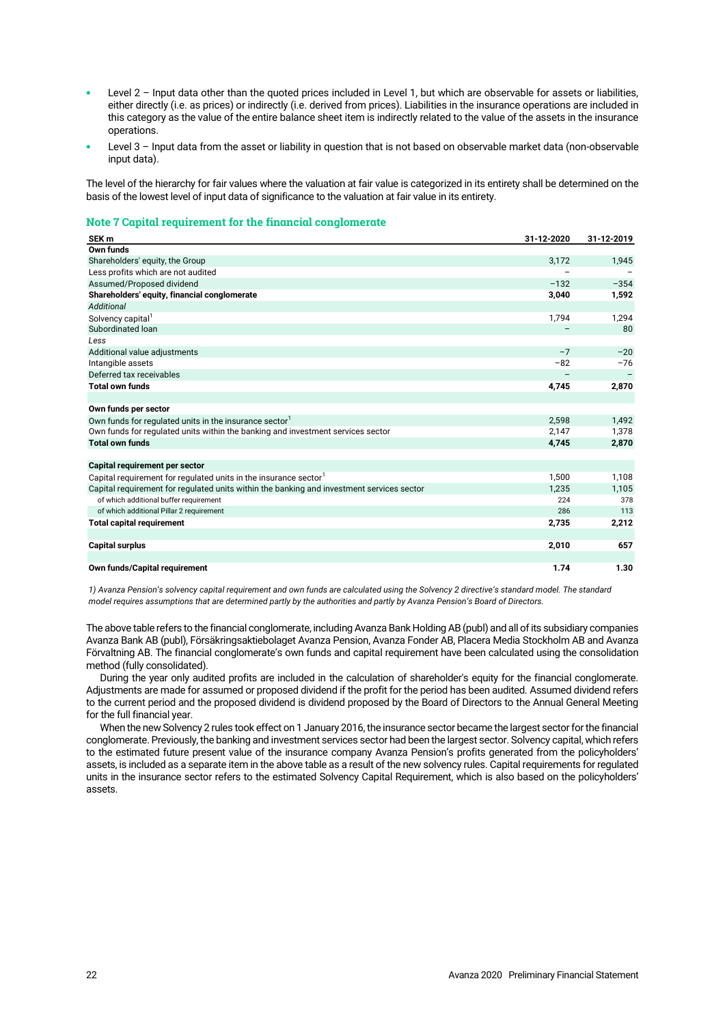- Level 2 Input data other than the quoted prices included in Level 1, but which are observable for assets or liabilities, either directly (i.e. as prices) or indirectly (i.e. derived from prices). Liabilities in the insurance operations are included in this category as the value of the entire balance sheet item is indirectly related to the value of the assets in the insurance operations.
- Level 3 Input data from the asset or liability in question that is not based on observable market data (non-observable input data).

The level of the hierarchy for fair values where the valuation at fair value is categorized in its entirety shall be determined on the basis of the lowest level of input data of significance to the valuation at fair value in its entirety.

# **Note 7 Capital requirement for the financial conglomerate**

| SEK <sub>m</sub>                                                                          | 31-12-2020 | 31-12-2019 |
|-------------------------------------------------------------------------------------------|------------|------------|
| Own funds                                                                                 |            |            |
| Shareholders' equity, the Group                                                           | 3,172      | 1,945      |
| Less profits which are not audited                                                        |            |            |
| Assumed/Proposed dividend                                                                 | $-132$     | $-354$     |
| Shareholders' equity, financial conglomerate                                              | 3,040      | 1,592      |
| Additional                                                                                |            |            |
| Solvency capital <sup>1</sup>                                                             | 1,794      | 1,294      |
| Subordinated Ioan                                                                         |            | 80         |
| Less                                                                                      |            |            |
| Additional value adjustments                                                              | $-7$       | $-20$      |
| Intangible assets                                                                         | $-82$      | $-76$      |
| Deferred tax receivables                                                                  |            |            |
| <b>Total own funds</b>                                                                    | 4,745      | 2,870      |
|                                                                                           |            |            |
| Own funds per sector                                                                      |            |            |
| Own funds for regulated units in the insurance sector <sup>1</sup>                        | 2,598      | 1,492      |
| Own funds for regulated units within the banking and investment services sector           | 2,147      | 1,378      |
| <b>Total own funds</b>                                                                    | 4,745      | 2,870      |
|                                                                                           |            |            |
| Capital requirement per sector                                                            |            |            |
| Capital requirement for regulated units in the insurance sector <sup>1</sup>              | 1,500      | 1,108      |
| Capital requirement for regulated units within the banking and investment services sector | 1,235      | 1,105      |
| of which additional buffer requirement                                                    | 224        | 378        |
| of which additional Pillar 2 requirement                                                  | 286        | 113        |
| <b>Total capital requirement</b>                                                          | 2,735      | 2,212      |
|                                                                                           |            |            |
| <b>Capital surplus</b>                                                                    | 2,010      | 657        |
|                                                                                           |            |            |
| Own funds/Capital requirement                                                             | 1.74       | 1.30       |

*1) Avanza Pension's solvency capital requirement and own funds are calculated using the Solvency 2 directive's standard model. The standard model requires assumptions that are determined partly by the authorities and partly by Avanza Pension's Board of Directors.*

The above table refers to the financial conglomerate, including Avanza Bank Holding AB (publ) and all of its subsidiary companies Avanza Bank AB (publ), Försäkringsaktiebolaget Avanza Pension, Avanza Fonder AB, Placera Media Stockholm AB and Avanza Förvaltning AB. The financial conglomerate's own funds and capital requirement have been calculated using the consolidation method (fully consolidated).

During the year only audited profits are included in the calculation of shareholder's equity for the financial conglomerate. Adjustments are made for assumed or proposed dividend if the profit for the period has been audited. Assumed dividend refers to the current period and the proposed dividend is dividend proposed by the Board of Directors to the Annual General Meeting for the full financial year.

When the new Solvency 2 rules took effect on 1 January 2016, the insurance sector became the largest sector for the financial conglomerate. Previously, the banking and investment services sector had been the largest sector. Solvency capital, which refers to the estimated future present value of the insurance company Avanza Pension's profits generated from the policyholders' assets, is included as a separate item in the above table as a result of the new solvency rules. Capital requirements for regulated units in the insurance sector refers to the estimated Solvency Capital Requirement, which is also based on the policyholders' assets.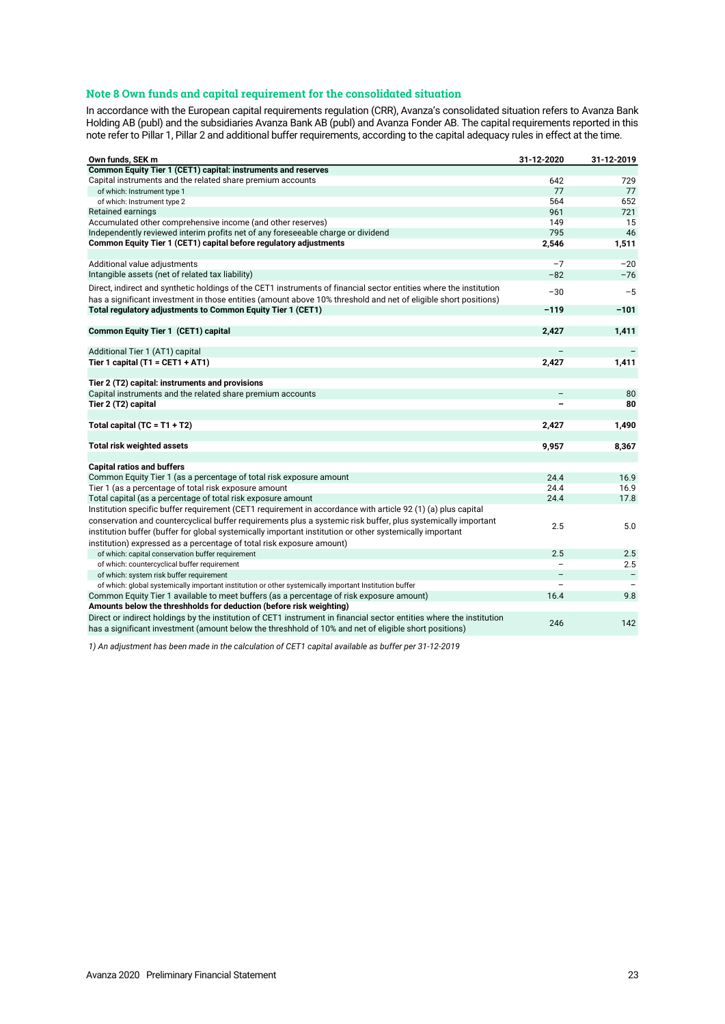# **Note 8 Own funds and capital requirement for the consolidated situation**

In accordance with the European capital requirements regulation (CRR), Avanza's consolidated situation refers to Avanza Bank Holding AB (publ) and the subsidiaries Avanza Bank AB (publ) and Avanza Fonder AB. The capital requirements reported in this note refer to Pillar 1, Pillar 2 and additional buffer requirements, according to the capital adequacy rules in effect at the time.

| Own funds, SEK m                                                                                                     | 31-12-2020               | 31-12-2019        |
|----------------------------------------------------------------------------------------------------------------------|--------------------------|-------------------|
| Common Equity Tier 1 (CET1) capital: instruments and reserves                                                        |                          |                   |
| Capital instruments and the related share premium accounts                                                           | 642                      | 729               |
| of which: Instrument type 1                                                                                          | 77                       | 77                |
| of which: Instrument type 2                                                                                          | 564                      | 652               |
| Retained earnings                                                                                                    | 961                      | 721               |
| Accumulated other comprehensive income (and other reserves)                                                          | 149                      | 15                |
| Independently reviewed interim profits net of any foreseeable charge or dividend                                     | 795                      | 46                |
| Common Equity Tier 1 (CET1) capital before regulatory adjustments                                                    | 2,546                    | 1,511             |
|                                                                                                                      |                          |                   |
| Additional value adjustments                                                                                         | $-7$                     | $-20$             |
| Intangible assets (net of related tax liability)                                                                     | $-82$                    | $-76$             |
| Direct, indirect and synthetic holdings of the CET1 instruments of financial sector entities where the institution   | $-30$                    | $-5$              |
| has a significant investment in those entities (amount above 10% threshold and net of eligible short positions)      |                          |                   |
| Total regulatory adjustments to Common Equity Tier 1 (CET1)                                                          | $-119$                   | $-101$            |
|                                                                                                                      |                          |                   |
| <b>Common Equity Tier 1 (CET1) capital</b>                                                                           | 2,427                    | 1,411             |
|                                                                                                                      |                          |                   |
| Additional Tier 1 (AT1) capital                                                                                      |                          |                   |
| Tier 1 capital $(T1 = CET1 + AT1)$                                                                                   | 2,427                    | 1,411             |
|                                                                                                                      |                          |                   |
| Tier 2 (T2) capital: instruments and provisions                                                                      |                          |                   |
| Capital instruments and the related share premium accounts                                                           | $\overline{\phantom{0}}$ | 80                |
| Tier 2 (T2) capital                                                                                                  |                          | 80                |
|                                                                                                                      |                          |                   |
| Total capital $(TC = T1 + T2)$                                                                                       | 2,427                    | 1,490             |
|                                                                                                                      |                          |                   |
| <b>Total risk weighted assets</b>                                                                                    | 9,957                    | 8,367             |
|                                                                                                                      |                          |                   |
| <b>Capital ratios and buffers</b>                                                                                    |                          |                   |
| Common Equity Tier 1 (as a percentage of total risk exposure amount                                                  | 24.4                     | 16.9              |
| Tier 1 (as a percentage of total risk exposure amount                                                                | 24.4                     | 16.9              |
| Total capital (as a percentage of total risk exposure amount                                                         | 24.4                     | 17.8              |
| Institution specific buffer requirement (CET1 requirement in accordance with article 92 (1) (a) plus capital         |                          |                   |
| conservation and countercyclical buffer requirements plus a systemic risk buffer, plus systemically important        | 2.5                      | 5.0               |
| institution buffer (buffer for global systemically important institution or other systemically important             |                          |                   |
| institution) expressed as a percentage of total risk exposure amount)                                                |                          |                   |
| of which: capital conservation buffer requirement                                                                    | 2.5                      | 2.5               |
| of which: countercyclical buffer requirement                                                                         |                          | 2.5               |
| of which: system risk buffer requirement                                                                             |                          | $\qquad \qquad -$ |
| of which: global systemically important institution or other systemically important Institution buffer               |                          |                   |
| Common Equity Tier 1 available to meet buffers (as a percentage of risk exposure amount)                             | 16.4                     | 9.8               |
| Amounts below the threshholds for deduction (before risk weighting)                                                  |                          |                   |
| Direct or indirect holdings by the institution of CET1 instrument in financial sector entities where the institution |                          |                   |
| has a significant investment (amount below the threshhold of 10% and net of eligible short positions)                | 246                      | 142               |

*1) An adjustment has been made in the calculation of CET1 capital available as buffer per 31-12-2019*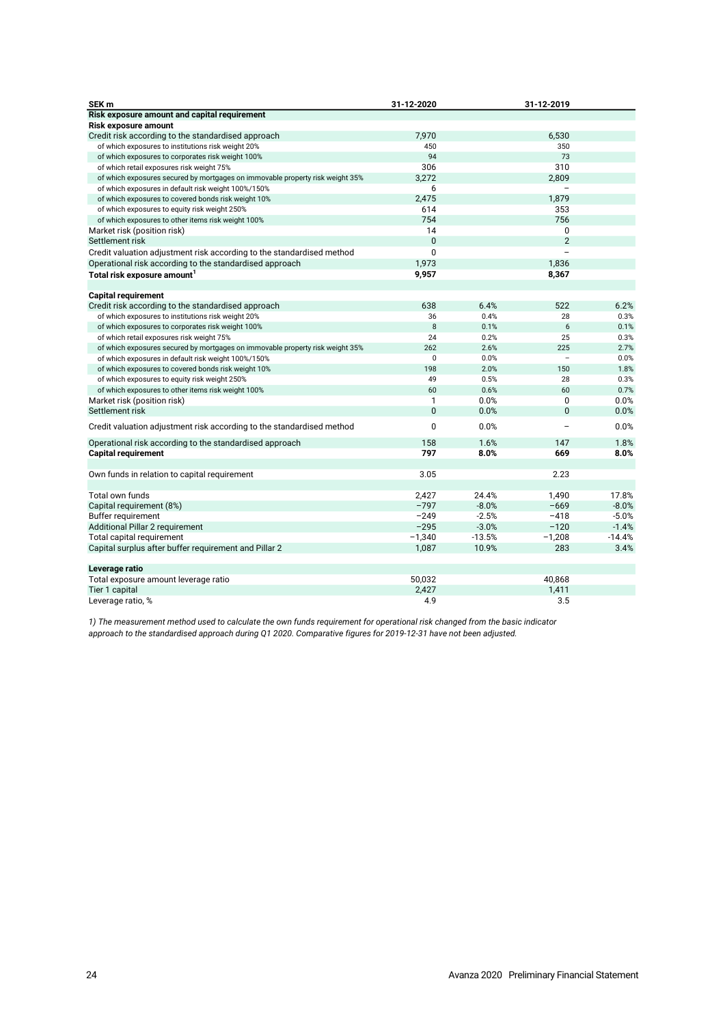| SEK <sub>m</sub>                                                              | 31-12-2020   |          | 31-12-2019               |          |
|-------------------------------------------------------------------------------|--------------|----------|--------------------------|----------|
| Risk exposure amount and capital requirement                                  |              |          |                          |          |
| <b>Risk exposure amount</b>                                                   |              |          |                          |          |
| Credit risk according to the standardised approach                            | 7.970        |          | 6,530                    |          |
| of which exposures to institutions risk weight 20%                            | 450          |          | 350                      |          |
| of which exposures to corporates risk weight 100%                             | 94           |          | 73                       |          |
| of which retail exposures risk weight 75%                                     | 306          |          | 310                      |          |
| of which exposures secured by mortgages on immovable property risk weight 35% | 3,272        |          | 2,809                    |          |
| of which exposures in default risk weight 100%/150%                           | 6            |          |                          |          |
| of which exposures to covered bonds risk weight 10%                           | 2,475        |          | 1,879                    |          |
| of which exposures to equity risk weight 250%                                 | 614          |          | 353                      |          |
| of which exposures to other items risk weight 100%                            | 754          |          | 756                      |          |
| Market risk (position risk)                                                   | 14           |          | $\Omega$                 |          |
| Settlement risk                                                               | $\mathbf{0}$ |          | $\overline{2}$           |          |
| Credit valuation adjustment risk according to the standardised method         | $\mathbf 0$  |          | $\overline{a}$           |          |
| Operational risk according to the standardised approach                       | 1,973        |          | 1,836                    |          |
| Total risk exposure amount <sup>1</sup>                                       | 9,957        |          | 8,367                    |          |
|                                                                               |              |          |                          |          |
| <b>Capital requirement</b>                                                    |              |          |                          |          |
| Credit risk according to the standardised approach                            | 638          | 6.4%     | 522                      | 6.2%     |
| of which exposures to institutions risk weight 20%                            | 36           | 0.4%     | 28                       | 0.3%     |
| of which exposures to corporates risk weight 100%                             | 8            | 0.1%     | 6                        | 0.1%     |
| of which retail exposures risk weight 75%                                     | 24           | 0.2%     | 25                       | 0.3%     |
| of which exposures secured by mortgages on immovable property risk weight 35% | 262          | 2.6%     | 225                      | 2.7%     |
| of which exposures in default risk weight 100%/150%                           | $\Omega$     | 0.0%     | $\overline{\phantom{a}}$ | 0.0%     |
| of which exposures to covered bonds risk weight 10%                           | 198          | 2.0%     | 150                      | 1.8%     |
| of which exposures to equity risk weight 250%                                 | 49           | 0.5%     | 28                       | 0.3%     |
| of which exposures to other items risk weight 100%                            | 60           | 0.6%     | 60                       | 0.7%     |
| Market risk (position risk)                                                   | 1            | 0.0%     | 0                        | 0.0%     |
| Settlement risk                                                               | $\mathbf{0}$ | 0.0%     | $\overline{0}$           | 0.0%     |
|                                                                               |              |          |                          |          |
| Credit valuation adjustment risk according to the standardised method         | $\mathbf{0}$ | 0.0%     | $\overline{\phantom{0}}$ | 0.0%     |
| Operational risk according to the standardised approach                       | 158          | 1.6%     | 147                      | 1.8%     |
| <b>Capital requirement</b>                                                    | 797          | 8.0%     | 669                      | 8.0%     |
|                                                                               |              |          |                          |          |
| Own funds in relation to capital requirement                                  | 3.05         |          | 2.23                     |          |
|                                                                               |              |          |                          |          |
| Total own funds                                                               | 2,427        | 24.4%    | 1,490                    | 17.8%    |
| Capital requirement (8%)                                                      | $-797$       | $-8.0%$  | $-669$                   | $-8.0%$  |
| Buffer requirement                                                            | $-249$       | $-2.5%$  | $-418$                   | $-5.0%$  |
| Additional Pillar 2 requirement                                               | $-295$       | $-3.0%$  | $-120$                   | $-1.4%$  |
| Total capital requirement                                                     | $-1,340$     | $-13.5%$ | $-1,208$                 | $-14.4%$ |
| Capital surplus after buffer requirement and Pillar 2                         | 1,087        | 10.9%    | 283                      | 3.4%     |
|                                                                               |              |          |                          |          |
| Leverage ratio                                                                |              |          |                          |          |
| Total exposure amount leverage ratio                                          | 50,032       |          | 40.868                   |          |
| Tier 1 capital                                                                | 2,427        |          | 1,411                    |          |
| Leverage ratio, %                                                             | 4.9          |          | 3.5                      |          |

*1) The measurement method used to calculate the own funds requirement for operational risk changed from the basic indicator approach to the standardised approach during Q1 2020. Comparative figures for 2019-12-31 have not been adjusted.*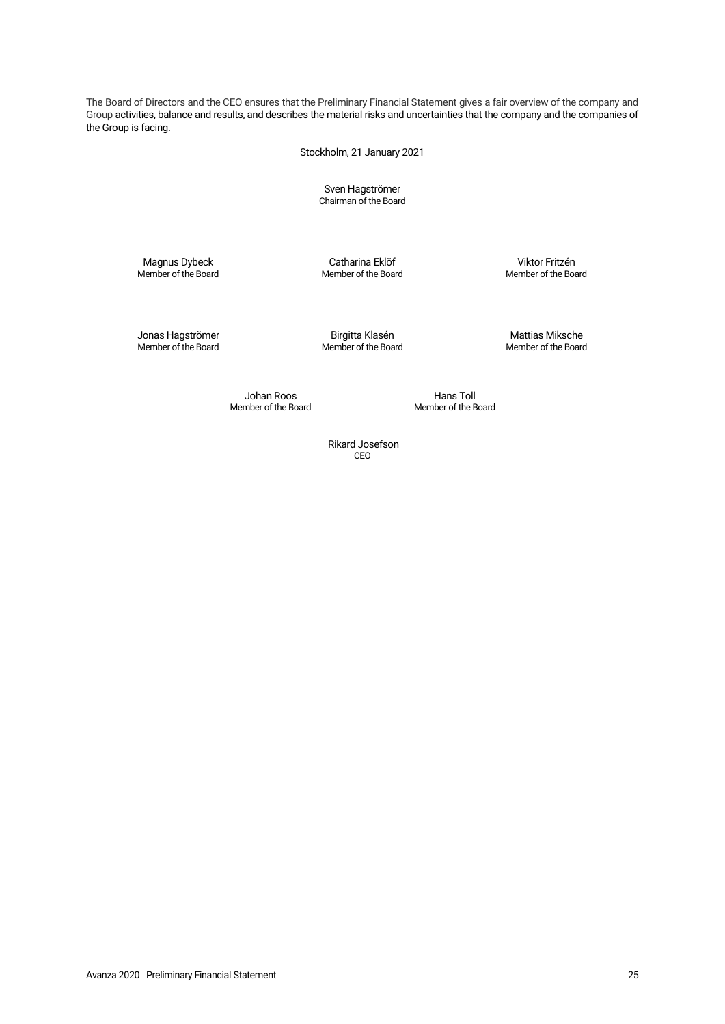The Board of Directors and the CEO ensures that the Preliminary Financial Statement gives a fair overview of the company and Group activities, balance and results, and describes the material risks and uncertainties that the company and the companies of the Group is facing.

Stockholm, 21 January 2021

Sven Hagströmer Chairman of the Board

Member of the Board Member of the Board Member of the Board

Magnus Dybeck Catharina Eklöf Viktor Fritzén

Jonas Hagströmer Birgitta Klasén Mattias Miksche Member of the Board Member of the Board Member of the Board

Member of the Board

Johan Roos<br>
mber of the Board<br>
Member of the Board

Rikard Josefson CEO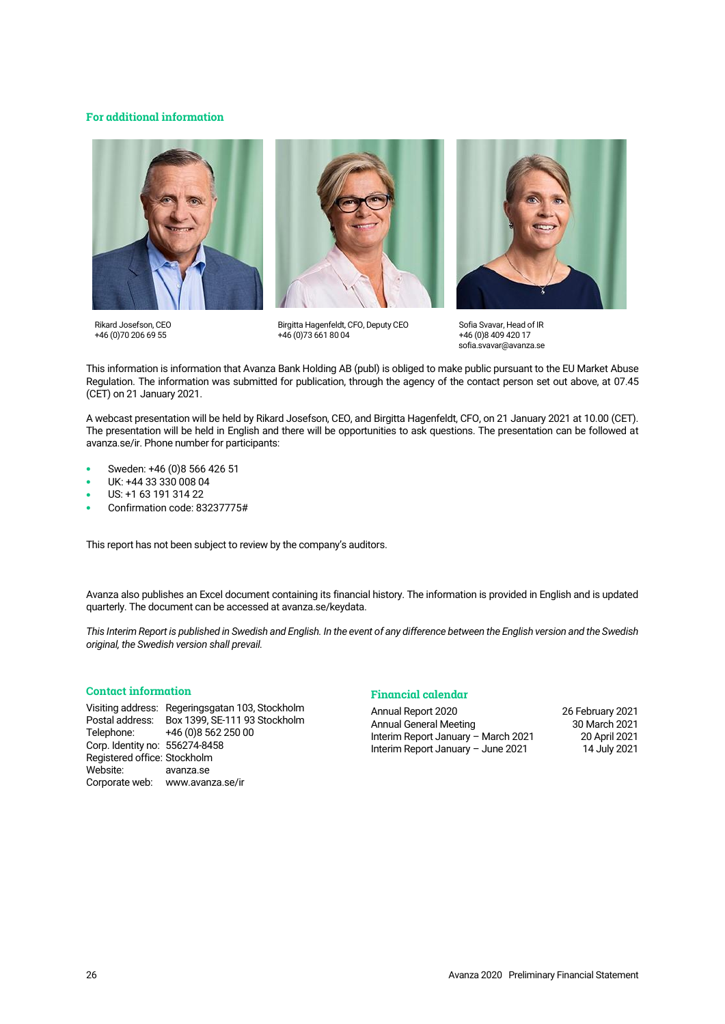# **For additional information**







Birgitta Hagenfeldt, CFO, Deputy CEO +46 (0)73 661 80 04



Sofia Svavar, Head of IR +46 (0)8 409 420 17 sofia.svavar@avanza.se

This information is information that Avanza Bank Holding AB (publ) is obliged to make public pursuant to the EU Market Abuse Regulation. The information was submitted for publication, through the agency of the contact person set out above, at 07.45 (CET) on 21 January 2021.

A webcast presentation will be held by Rikard Josefson, CEO, and Birgitta Hagenfeldt, CFO, on 21 January 2021 at 10.00 (CET). The presentation will be held in English and there will be opportunities to ask questions. The presentation can be followed at [avanza.se/ir.](https://avanza.se/ir) Phone number for participants:

- Sweden: +46 (0)8 566 426 51
- UK: +44 33 330 008 04
- US: +1 63 191 314 22
- Confirmation code: 83237775#

This report has not been subject to review by the company's auditors.

Avanza also publishes an Excel document containing its financial history. The information is provided in English and is updated quarterly. The document can be accessed a[t avanza.se/keydata.](http://avanza.se/keydata)

*This Interim Report is published in Swedish and English. In the event of any difference between the English version and the Swedish original, the Swedish version shall prevail.*

# **Contact information**

Visiting address: Regeringsgatan 103, Stockholm Box 1399, SE-111 93 Stockholm Telephone: +46 (0) 8 562 250 00 Corp. Identity no: 556274-8458 Registered office: Stockholm Website: [avanza.se](https://www.avanza.se/) Corporate web: www.avanza.se/ir

# **Financial calendar**

Annual Report 2020 26 February 2021 Annual General Meeting Interim Report January – March 2021 20 April 2021 Interim Report January – June 2021